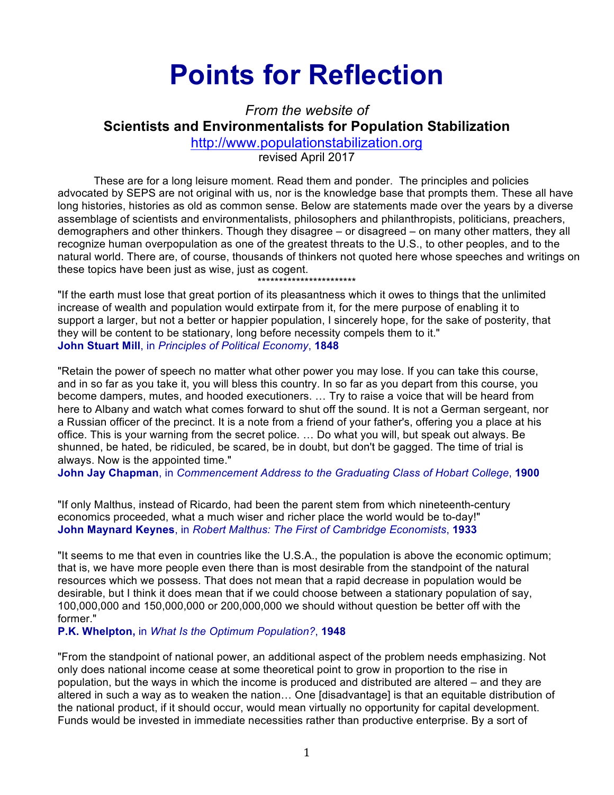# **Points for Reflection**

# *From the website of*  **Scientists and Environmentalists for Population Stabilization** http://www.populationstabilization.org

revised April 2017

These are for a long leisure moment. Read them and ponder. The principles and policies advocated by SEPS are not original with us, nor is the knowledge base that prompts them. These all have long histories, histories as old as common sense. Below are statements made over the years by a diverse assemblage of scientists and environmentalists, philosophers and philanthropists, politicians, preachers, demographers and other thinkers. Though they disagree – or disagreed – on many other matters, they all recognize human overpopulation as one of the greatest threats to the U.S., to other peoples, and to the natural world. There are, of course, thousands of thinkers not quoted here whose speeches and writings on these topics have been just as wise, just as cogent.

"If the earth must lose that great portion of its pleasantness which it owes to things that the unlimited increase of wealth and population would extirpate from it, for the mere purpose of enabling it to support a larger, but not a better or happier population, I sincerely hope, for the sake of posterity, that they will be content to be stationary, long before necessity compels them to it." **John Stuart Mill**, in *Principles of Political Economy*, **1848**

\*\*\*\*\*\*\*\*\*\*\*\*\*\*\*\*\*\*\*\*\*\*\*

"Retain the power of speech no matter what other power you may lose. If you can take this course, and in so far as you take it, you will bless this country. In so far as you depart from this course, you become dampers, mutes, and hooded executioners. … Try to raise a voice that will be heard from here to Albany and watch what comes forward to shut off the sound. It is not a German sergeant, nor a Russian officer of the precinct. It is a note from a friend of your father's, offering you a place at his office. This is your warning from the secret police. … Do what you will, but speak out always. Be shunned, be hated, be ridiculed, be scared, be in doubt, but don't be gagged. The time of trial is always. Now is the appointed time."

**John Jay Chapman**, in *Commencement Address to the Graduating Class of Hobart College*, **1900**

"If only Malthus, instead of Ricardo, had been the parent stem from which nineteenth-century economics proceeded, what a much wiser and richer place the world would be to-day!" **John Maynard Keynes**, in *Robert Malthus: The First of Cambridge Economists*, **1933**

"It seems to me that even in countries like the U.S.A., the population is above the economic optimum; that is, we have more people even there than is most desirable from the standpoint of the natural resources which we possess. That does not mean that a rapid decrease in population would be desirable, but I think it does mean that if we could choose between a stationary population of say, 100,000,000 and 150,000,000 or 200,000,000 we should without question be better off with the former."

# **P.K. Whelpton,** in *What Is the Optimum Population?*, **1948**

"From the standpoint of national power, an additional aspect of the problem needs emphasizing. Not only does national income cease at some theoretical point to grow in proportion to the rise in population, but the ways in which the income is produced and distributed are altered – and they are altered in such a way as to weaken the nation… One [disadvantage] is that an equitable distribution of the national product, if it should occur, would mean virtually no opportunity for capital development. Funds would be invested in immediate necessities rather than productive enterprise. By a sort of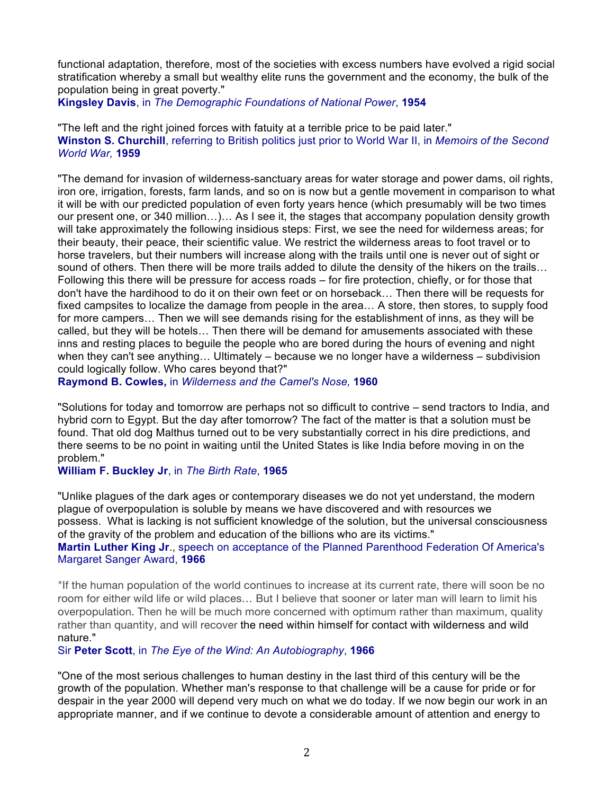functional adaptation, therefore, most of the societies with excess numbers have evolved a rigid social stratification whereby a small but wealthy elite runs the government and the economy, the bulk of the population being in great poverty."

**Kingsley Davis**, in *The Demographic Foundations of National Power*, **1954**

"The left and the right joined forces with fatuity at a terrible price to be paid later." **Winston S. Churchill**, referring to British politics just prior to World War II, in *Memoirs of the Second World War,* **1959**

"The demand for invasion of wilderness-sanctuary areas for water storage and power dams, oil rights, iron ore, irrigation, forests, farm lands, and so on is now but a gentle movement in comparison to what it will be with our predicted population of even forty years hence (which presumably will be two times our present one, or 340 million…)… As I see it, the stages that accompany population density growth will take approximately the following insidious steps: First, we see the need for wilderness areas; for their beauty, their peace, their scientific value. We restrict the wilderness areas to foot travel or to horse travelers, but their numbers will increase along with the trails until one is never out of sight or sound of others. Then there will be more trails added to dilute the density of the hikers on the trails... Following this there will be pressure for access roads – for fire protection, chiefly, or for those that don't have the hardihood to do it on their own feet or on horseback… Then there will be requests for fixed campsites to localize the damage from people in the area… A store, then stores, to supply food for more campers… Then we will see demands rising for the establishment of inns, as they will be called, but they will be hotels… Then there will be demand for amusements associated with these inns and resting places to beguile the people who are bored during the hours of evening and night when they can't see anything… Ultimately – because we no longer have a wilderness – subdivision could logically follow. Who cares beyond that?"

**Raymond B. Cowles,** in *Wilderness and the Camel's Nose,* **1960**

"Solutions for today and tomorrow are perhaps not so difficult to contrive – send tractors to India, and hybrid corn to Egypt. But the day after tomorrow? The fact of the matter is that a solution must be found. That old dog Malthus turned out to be very substantially correct in his dire predictions, and there seems to be no point in waiting until the United States is like India before moving in on the problem."

**William F. Buckley Jr**, in *The Birth Rate*, **1965**

"Unlike plagues of the dark ages or contemporary diseases we do not yet understand, the modern plague of overpopulation is soluble by means we have discovered and with resources we possess. What is lacking is not sufficient knowledge of the solution, but the universal consciousness of the gravity of the problem and education of the billions who are its victims."

# **Martin Luther King Jr**., speech on acceptance of the Planned Parenthood Federation Of America's Margaret Sanger Award, **1966**

"If the human population of the world continues to increase at its current rate, there will soon be no room for either wild life or wild places… But I believe that sooner or later man will learn to limit his overpopulation. Then he will be much more concerned with optimum rather than maximum, quality rather than quantity, and will recover the need within himself for contact with wilderness and wild nature."

Sir **Peter Scott**, in *The Eye of the Wind: An Autobiography*, **1966**

"One of the most serious challenges to human destiny in the last third of this century will be the growth of the population. Whether man's response to that challenge will be a cause for pride or for despair in the year 2000 will depend very much on what we do today. If we now begin our work in an appropriate manner, and if we continue to devote a considerable amount of attention and energy to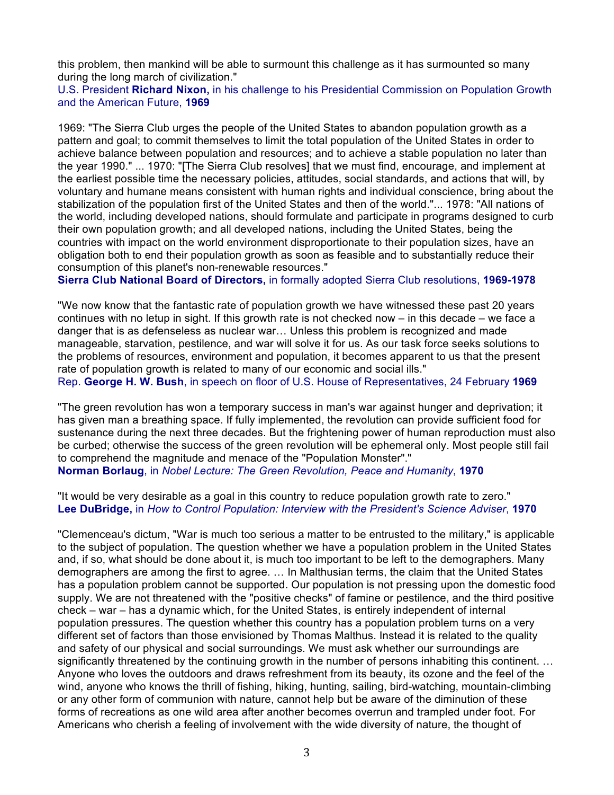this problem, then mankind will be able to surmount this challenge as it has surmounted so many during the long march of civilization."

U.S. President **Richard Nixon,** in his challenge to his Presidential Commission on Population Growth and the American Future, **1969**

1969: "The Sierra Club urges the people of the United States to abandon population growth as a pattern and goal; to commit themselves to limit the total population of the United States in order to achieve balance between population and resources; and to achieve a stable population no later than the year 1990." ... 1970: "[The Sierra Club resolves] that we must find, encourage, and implement at the earliest possible time the necessary policies, attitudes, social standards, and actions that will, by voluntary and humane means consistent with human rights and individual conscience, bring about the stabilization of the population first of the United States and then of the world."... 1978: "All nations of the world, including developed nations, should formulate and participate in programs designed to curb their own population growth; and all developed nations, including the United States, being the countries with impact on the world environment disproportionate to their population sizes, have an obligation both to end their population growth as soon as feasible and to substantially reduce their consumption of this planet's non-renewable resources."

**Sierra Club National Board of Directors,** in formally adopted Sierra Club resolutions, **1969-1978**

"We now know that the fantastic rate of population growth we have witnessed these past 20 years continues with no letup in sight. If this growth rate is not checked now – in this decade – we face a danger that is as defenseless as nuclear war… Unless this problem is recognized and made manageable, starvation, pestilence, and war will solve it for us. As our task force seeks solutions to the problems of resources, environment and population, it becomes apparent to us that the present rate of population growth is related to many of our economic and social ills."

Rep. **George H. W. Bush**, in speech on floor of U.S. House of Representatives, 24 February **1969**

"The green revolution has won a temporary success in man's war against hunger and deprivation; it has given man a breathing space. If fully implemented, the revolution can provide sufficient food for sustenance during the next three decades. But the frightening power of human reproduction must also be curbed; otherwise the success of the green revolution will be ephemeral only. Most people still fail to comprehend the magnitude and menace of the "Population Monster"." **Norman Borlaug**, in *Nobel Lecture: The Green Revolution, Peace and Humanity*, **1970**

"It would be very desirable as a goal in this country to reduce population growth rate to zero." **Lee DuBridge,** in *How to Control Population: Interview with the President's Science Adviser*, **1970**

"Clemenceau's dictum, "War is much too serious a matter to be entrusted to the military," is applicable to the subject of population. The question whether we have a population problem in the United States and, if so, what should be done about it, is much too important to be left to the demographers. Many demographers are among the first to agree. … In Malthusian terms, the claim that the United States has a population problem cannot be supported. Our population is not pressing upon the domestic food supply. We are not threatened with the "positive checks" of famine or pestilence, and the third positive check – war – has a dynamic which, for the United States, is entirely independent of internal population pressures. The question whether this country has a population problem turns on a very different set of factors than those envisioned by Thomas Malthus. Instead it is related to the quality and safety of our physical and social surroundings. We must ask whether our surroundings are significantly threatened by the continuing growth in the number of persons inhabiting this continent. ... Anyone who loves the outdoors and draws refreshment from its beauty, its ozone and the feel of the wind, anyone who knows the thrill of fishing, hiking, hunting, sailing, bird-watching, mountain-climbing or any other form of communion with nature, cannot help but be aware of the diminution of these forms of recreations as one wild area after another becomes overrun and trampled under foot. For Americans who cherish a feeling of involvement with the wide diversity of nature, the thought of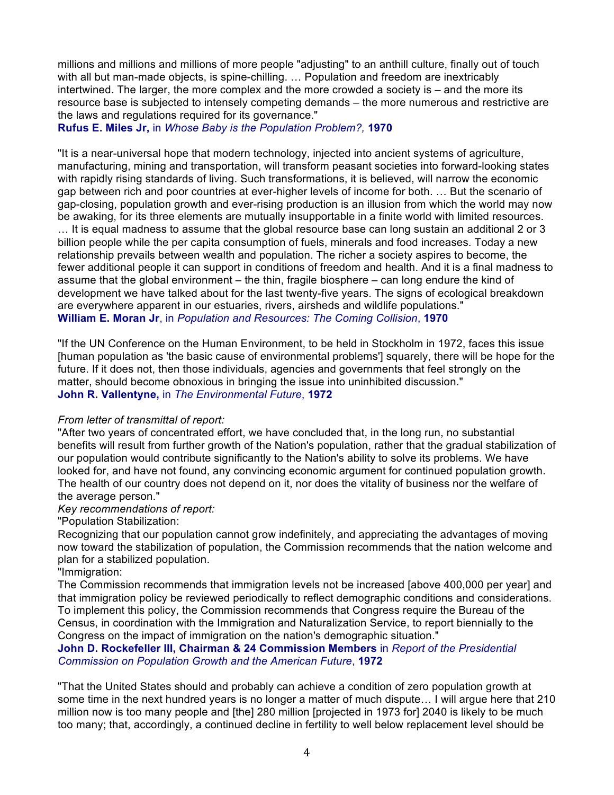millions and millions and millions of more people "adjusting" to an anthill culture, finally out of touch with all but man-made objects, is spine-chilling. … Population and freedom are inextricably intertwined. The larger, the more complex and the more crowded a society is – and the more its resource base is subjected to intensely competing demands – the more numerous and restrictive are the laws and regulations required for its governance."

#### **Rufus E. Miles Jr,** in *Whose Baby is the Population Problem?,* **1970**

"It is a near-universal hope that modern technology, injected into ancient systems of agriculture, manufacturing, mining and transportation, will transform peasant societies into forward-looking states with rapidly rising standards of living. Such transformations, it is believed, will narrow the economic gap between rich and poor countries at ever-higher levels of income for both. … But the scenario of gap-closing, population growth and ever-rising production is an illusion from which the world may now be awaking, for its three elements are mutually insupportable in a finite world with limited resources.

… It is equal madness to assume that the global resource base can long sustain an additional 2 or 3 billion people while the per capita consumption of fuels, minerals and food increases. Today a new relationship prevails between wealth and population. The richer a society aspires to become, the fewer additional people it can support in conditions of freedom and health. And it is a final madness to assume that the global environment – the thin, fragile biosphere – can long endure the kind of development we have talked about for the last twenty-five years. The signs of ecological breakdown are everywhere apparent in our estuaries, rivers, airsheds and wildlife populations." **William E. Moran Jr**, in *Population and Resources: The Coming Collision*, **1970**

"If the UN Conference on the Human Environment, to be held in Stockholm in 1972, faces this issue [human population as 'the basic cause of environmental problems'] squarely, there will be hope for the future. If it does not, then those individuals, agencies and governments that feel strongly on the matter, should become obnoxious in bringing the issue into uninhibited discussion." **John R. Vallentyne,** in *The Environmental Future*, **1972**

#### *From letter of transmittal of report:*

"After two years of concentrated effort, we have concluded that, in the long run, no substantial benefits will result from further growth of the Nation's population, rather that the gradual stabilization of our population would contribute significantly to the Nation's ability to solve its problems. We have looked for, and have not found, any convincing economic argument for continued population growth. The health of our country does not depend on it, nor does the vitality of business nor the welfare of the average person."

#### *Key recommendations of report:*

"Population Stabilization:

Recognizing that our population cannot grow indefinitely, and appreciating the advantages of moving now toward the stabilization of population, the Commission recommends that the nation welcome and plan for a stabilized population.

"Immigration:

The Commission recommends that immigration levels not be increased [above 400,000 per year] and that immigration policy be reviewed periodically to reflect demographic conditions and considerations. To implement this policy, the Commission recommends that Congress require the Bureau of the Census, in coordination with the Immigration and Naturalization Service, to report biennially to the Congress on the impact of immigration on the nation's demographic situation."

#### **John D. Rockefeller III, Chairman & 24 Commission Members** in *Report of the Presidential Commission on Population Growth and the American Future*, **1972**

"That the United States should and probably can achieve a condition of zero population growth at some time in the next hundred years is no longer a matter of much dispute… I will argue here that 210 million now is too many people and [the] 280 million [projected in 1973 for] 2040 is likely to be much too many; that, accordingly, a continued decline in fertility to well below replacement level should be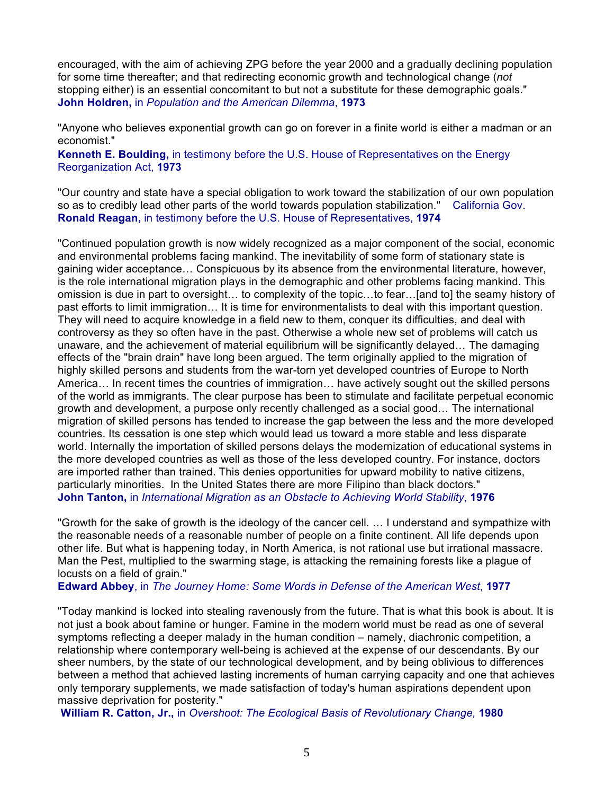encouraged, with the aim of achieving ZPG before the year 2000 and a gradually declining population for some time thereafter; and that redirecting economic growth and technological change (*not* stopping either) is an essential concomitant to but not a substitute for these demographic goals." **John Holdren,** in *Population and the American Dilemma*, **1973**

"Anyone who believes exponential growth can go on forever in a finite world is either a madman or an economist."

**Kenneth E. Boulding,** in testimony before the U.S. House of Representatives on the Energy Reorganization Act, **1973**

"Our country and state have a special obligation to work toward the stabilization of our own population so as to credibly lead other parts of the world towards population stabilization." California Gov. **Ronald Reagan,** in testimony before the U.S. House of Representatives, **1974**

"Continued population growth is now widely recognized as a major component of the social, economic and environmental problems facing mankind. The inevitability of some form of stationary state is gaining wider acceptance… Conspicuous by its absence from the environmental literature, however, is the role international migration plays in the demographic and other problems facing mankind. This omission is due in part to oversight… to complexity of the topic…to fear…[and to] the seamy history of past efforts to limit immigration… It is time for environmentalists to deal with this important question. They will need to acquire knowledge in a field new to them, conquer its difficulties, and deal with controversy as they so often have in the past. Otherwise a whole new set of problems will catch us unaware, and the achievement of material equilibrium will be significantly delayed… The damaging effects of the "brain drain" have long been argued. The term originally applied to the migration of highly skilled persons and students from the war-torn yet developed countries of Europe to North America… In recent times the countries of immigration… have actively sought out the skilled persons of the world as immigrants. The clear purpose has been to stimulate and facilitate perpetual economic growth and development, a purpose only recently challenged as a social good… The international migration of skilled persons has tended to increase the gap between the less and the more developed countries. Its cessation is one step which would lead us toward a more stable and less disparate world. Internally the importation of skilled persons delays the modernization of educational systems in the more developed countries as well as those of the less developed country. For instance, doctors are imported rather than trained. This denies opportunities for upward mobility to native citizens, particularly minorities. In the United States there are more Filipino than black doctors." **John Tanton,** in *International Migration as an Obstacle to Achieving World Stability*, **1976**

"Growth for the sake of growth is the ideology of the cancer cell. … I understand and sympathize with the reasonable needs of a reasonable number of people on a finite continent. All life depends upon other life. But what is happening today, in North America, is not rational use but irrational massacre. Man the Pest, multiplied to the swarming stage, is attacking the remaining forests like a plague of locusts on a field of grain."

**Edward Abbey**, in *The Journey Home: Some Words in Defense of the American West*, **1977**

"Today mankind is locked into stealing ravenously from the future. That is what this book is about. It is not just a book about famine or hunger. Famine in the modern world must be read as one of several symptoms reflecting a deeper malady in the human condition – namely, diachronic competition, a relationship where contemporary well-being is achieved at the expense of our descendants. By our sheer numbers, by the state of our technological development, and by being oblivious to differences between a method that achieved lasting increments of human carrying capacity and one that achieves only temporary supplements, we made satisfaction of today's human aspirations dependent upon massive deprivation for posterity."

**William R. Catton, Jr.,** in *Overshoot: The Ecological Basis of Revolutionary Change,* **1980**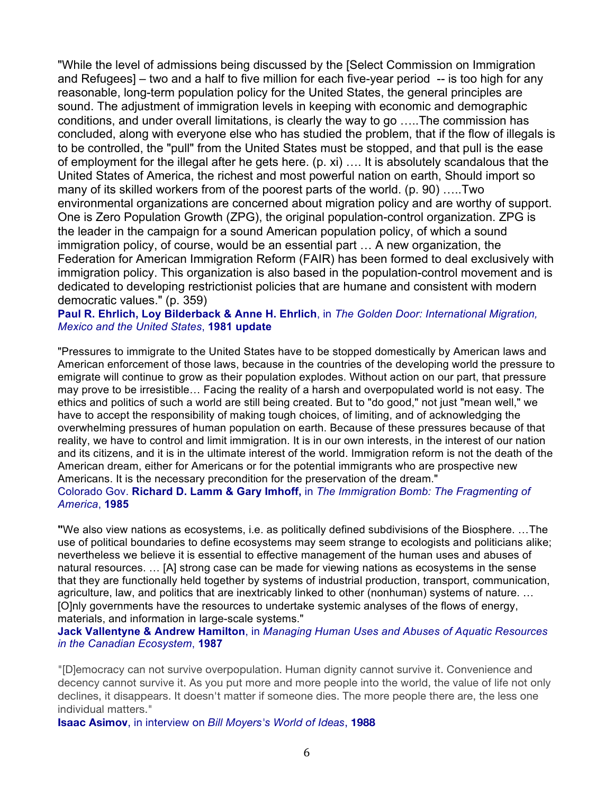"While the level of admissions being discussed by the [Select Commission on Immigration and Refugees] – two and a half to five million for each five-year period -- is too high for any reasonable, long-term population policy for the United States, the general principles are sound. The adjustment of immigration levels in keeping with economic and demographic conditions, and under overall limitations, is clearly the way to go …..The commission has concluded, along with everyone else who has studied the problem, that if the flow of illegals is to be controlled, the "pull" from the United States must be stopped, and that pull is the ease of employment for the illegal after he gets here. (p. xi) …. It is absolutely scandalous that the United States of America, the richest and most powerful nation on earth, Should import so many of its skilled workers from of the poorest parts of the world. (p. 90) …..Two environmental organizations are concerned about migration policy and are worthy of support. One is Zero Population Growth (ZPG), the original population-control organization. ZPG is the leader in the campaign for a sound American population policy, of which a sound immigration policy, of course, would be an essential part … A new organization, the Federation for American Immigration Reform (FAIR) has been formed to deal exclusively with immigration policy. This organization is also based in the population-control movement and is dedicated to developing restrictionist policies that are humane and consistent with modern democratic values." (p. 359)

# **Paul R. Ehrlich, Loy Bilderback & Anne H. Ehrlich**, in *The Golden Door: International Migration, Mexico and the United States*, **1981 update**

"Pressures to immigrate to the United States have to be stopped domestically by American laws and American enforcement of those laws, because in the countries of the developing world the pressure to emigrate will continue to grow as their population explodes. Without action on our part, that pressure may prove to be irresistible… Facing the reality of a harsh and overpopulated world is not easy. The ethics and politics of such a world are still being created. But to "do good," not just "mean well," we have to accept the responsibility of making tough choices, of limiting, and of acknowledging the overwhelming pressures of human population on earth. Because of these pressures because of that reality, we have to control and limit immigration. It is in our own interests, in the interest of our nation and its citizens, and it is in the ultimate interest of the world. Immigration reform is not the death of the American dream, either for Americans or for the potential immigrants who are prospective new Americans. It is the necessary precondition for the preservation of the dream."

Colorado Gov. **Richard D. Lamm & Gary Imhoff,** in *The Immigration Bomb: The Fragmenting of America*, **1985**

**"**We also view nations as ecosystems, i.e. as politically defined subdivisions of the Biosphere. …The use of political boundaries to define ecosystems may seem strange to ecologists and politicians alike; nevertheless we believe it is essential to effective management of the human uses and abuses of natural resources. … [A] strong case can be made for viewing nations as ecosystems in the sense that they are functionally held together by systems of industrial production, transport, communication, agriculture, law, and politics that are inextricably linked to other (nonhuman) systems of nature. … [O]nly governments have the resources to undertake systemic analyses of the flows of energy, materials, and information in large-scale systems."

# **Jack Vallentyne & Andrew Hamilton**, in *Managing Human Uses and Abuses of Aquatic Resources in the Canadian Ecosystem*, **1987**

"[D]emocracy can not survive overpopulation. Human dignity cannot survive it. Convenience and decency cannot survive it. As you put more and more people into the world, the value of life not only declines, it disappears. It doesn't matter if someone dies. The more people there are, the less one individual matters."

**Isaac Asimov**, in interview on *Bill Moyers's World of Ideas*, **1988**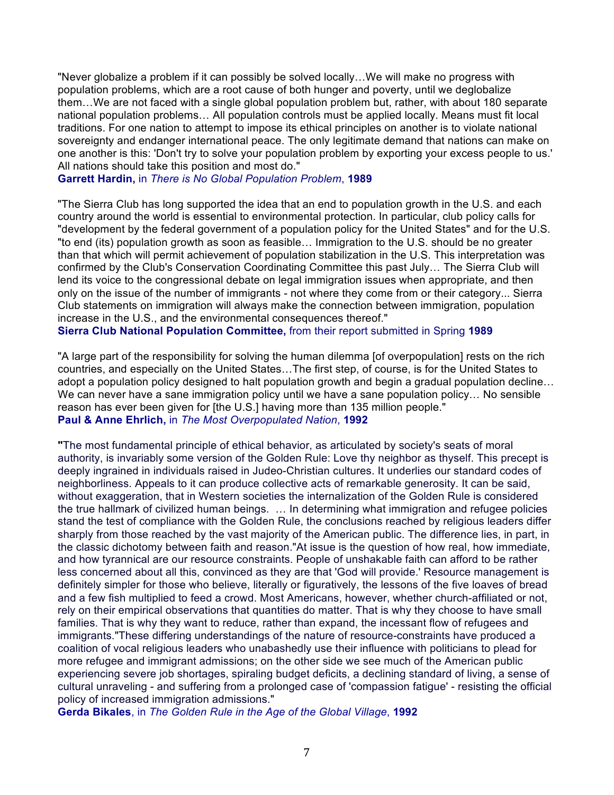"Never globalize a problem if it can possibly be solved locally…We will make no progress with population problems, which are a root cause of both hunger and poverty, until we deglobalize them…We are not faced with a single global population problem but, rather, with about 180 separate national population problems… All population controls must be applied locally. Means must fit local traditions. For one nation to attempt to impose its ethical principles on another is to violate national sovereignty and endanger international peace. The only legitimate demand that nations can make on one another is this: 'Don't try to solve your population problem by exporting your excess people to us.' All nations should take this position and most do."

#### **Garrett Hardin,** in *There is No Global Population Problem*, **1989**

"The Sierra Club has long supported the idea that an end to population growth in the U.S. and each country around the world is essential to environmental protection. In particular, club policy calls for "development by the federal government of a population policy for the United States" and for the U.S. "to end (its) population growth as soon as feasible… Immigration to the U.S. should be no greater than that which will permit achievement of population stabilization in the U.S. This interpretation was confirmed by the Club's Conservation Coordinating Committee this past July… The Sierra Club will lend its voice to the congressional debate on legal immigration issues when appropriate, and then only on the issue of the number of immigrants - not where they come from or their category... Sierra Club statements on immigration will always make the connection between immigration, population increase in the U.S., and the environmental consequences thereof."

# **Sierra Club National Population Committee,** from their report submitted in Spring **1989**

"A large part of the responsibility for solving the human dilemma [of overpopulation] rests on the rich countries, and especially on the United States…The first step, of course, is for the United States to adopt a population policy designed to halt population growth and begin a gradual population decline… We can never have a sane immigration policy until we have a sane population policy... No sensible reason has ever been given for [the U.S.] having more than 135 million people." **Paul & Anne Ehrlich,** in *The Most Overpopulated Nation*, **1992**

**"**The most fundamental principle of ethical behavior, as articulated by society's seats of moral authority, is invariably some version of the Golden Rule: Love thy neighbor as thyself. This precept is deeply ingrained in individuals raised in Judeo-Christian cultures. It underlies our standard codes of neighborliness. Appeals to it can produce collective acts of remarkable generosity. It can be said, without exaggeration, that in Western societies the internalization of the Golden Rule is considered the true hallmark of civilized human beings. … In determining what immigration and refugee policies stand the test of compliance with the Golden Rule, the conclusions reached by religious leaders differ sharply from those reached by the vast majority of the American public. The difference lies, in part, in the classic dichotomy between faith and reason."At issue is the question of how real, how immediate, and how tyrannical are our resource constraints. People of unshakable faith can afford to be rather less concerned about all this, convinced as they are that 'God will provide.' Resource management is definitely simpler for those who believe, literally or figuratively, the lessons of the five loaves of bread and a few fish multiplied to feed a crowd. Most Americans, however, whether church-affiliated or not, rely on their empirical observations that quantities do matter. That is why they choose to have small families. That is why they want to reduce, rather than expand, the incessant flow of refugees and immigrants."These differing understandings of the nature of resource-constraints have produced a coalition of vocal religious leaders who unabashedly use their influence with politicians to plead for more refugee and immigrant admissions; on the other side we see much of the American public experiencing severe job shortages, spiraling budget deficits, a declining standard of living, a sense of cultural unraveling - and suffering from a prolonged case of 'compassion fatigue' - resisting the official policy of increased immigration admissions."

**Gerda Bikales**, in *The Golden Rule in the Age of the Global Village*, **1992**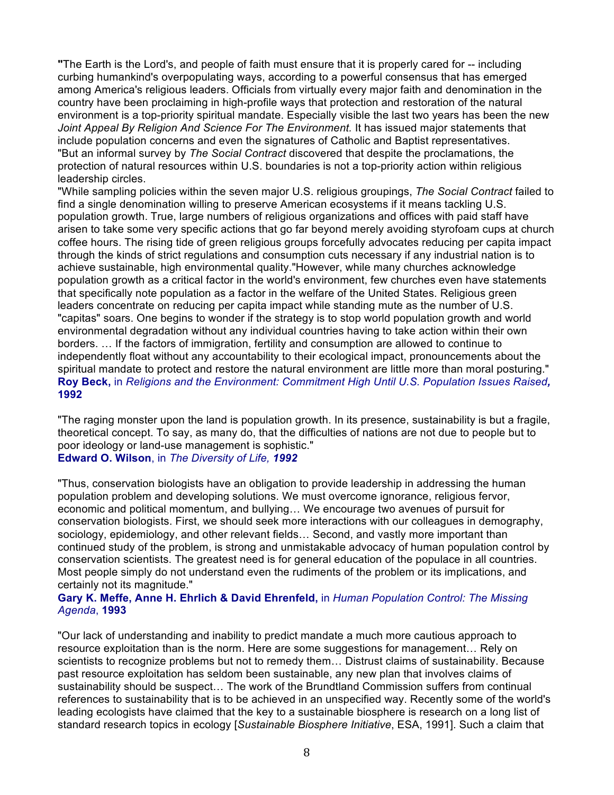**"**The Earth is the Lord's, and people of faith must ensure that it is properly cared for -- including curbing humankind's overpopulating ways, according to a powerful consensus that has emerged among America's religious leaders. Officials from virtually every major faith and denomination in the country have been proclaiming in high-profile ways that protection and restoration of the natural environment is a top-priority spiritual mandate. Especially visible the last two years has been the new Joint Appeal By Religion And Science For The Environment. It has issued major statements that include population concerns and even the signatures of Catholic and Baptist representatives. "But an informal survey by *The Social Contract* discovered that despite the proclamations, the protection of natural resources within U.S. boundaries is not a top-priority action within religious leadership circles.

"While sampling policies within the seven major U.S. religious groupings, *The Social Contract* failed to find a single denomination willing to preserve American ecosystems if it means tackling U.S. population growth. True, large numbers of religious organizations and offices with paid staff have arisen to take some very specific actions that go far beyond merely avoiding styrofoam cups at church coffee hours. The rising tide of green religious groups forcefully advocates reducing per capita impact through the kinds of strict regulations and consumption cuts necessary if any industrial nation is to achieve sustainable, high environmental quality."However, while many churches acknowledge population growth as a critical factor in the world's environment, few churches even have statements that specifically note population as a factor in the welfare of the United States. Religious green leaders concentrate on reducing per capita impact while standing mute as the number of U.S. "capitas" soars. One begins to wonder if the strategy is to stop world population growth and world environmental degradation without any individual countries having to take action within their own borders. … If the factors of immigration, fertility and consumption are allowed to continue to independently float without any accountability to their ecological impact, pronouncements about the spiritual mandate to protect and restore the natural environment are little more than moral posturing." **Roy Beck,** in *Religions and the Environment: Commitment High Until U.S. Population Issues Raised,* **1992**

"The raging monster upon the land is population growth. In its presence, sustainability is but a fragile, theoretical concept. To say, as many do, that the difficulties of nations are not due to people but to poor ideology or land-use management is sophistic." **Edward O. Wilson**, in *The Diversity of Life, 1992*

"Thus, conservation biologists have an obligation to provide leadership in addressing the human population problem and developing solutions. We must overcome ignorance, religious fervor, economic and political momentum, and bullying… We encourage two avenues of pursuit for conservation biologists. First, we should seek more interactions with our colleagues in demography, sociology, epidemiology, and other relevant fields… Second, and vastly more important than continued study of the problem, is strong and unmistakable advocacy of human population control by conservation scientists. The greatest need is for general education of the populace in all countries. Most people simply do not understand even the rudiments of the problem or its implications, and certainly not its magnitude."

# **Gary K. Meffe, Anne H. Ehrlich & David Ehrenfeld,** in *Human Population Control: The Missing Agenda*, **1993**

"Our lack of understanding and inability to predict mandate a much more cautious approach to resource exploitation than is the norm. Here are some suggestions for management… Rely on scientists to recognize problems but not to remedy them… Distrust claims of sustainability. Because past resource exploitation has seldom been sustainable, any new plan that involves claims of sustainability should be suspect… The work of the Brundtland Commission suffers from continual references to sustainability that is to be achieved in an unspecified way. Recently some of the world's leading ecologists have claimed that the key to a sustainable biosphere is research on a long list of standard research topics in ecology [*Sustainable Biosphere Initiative*, ESA, 1991]. Such a claim that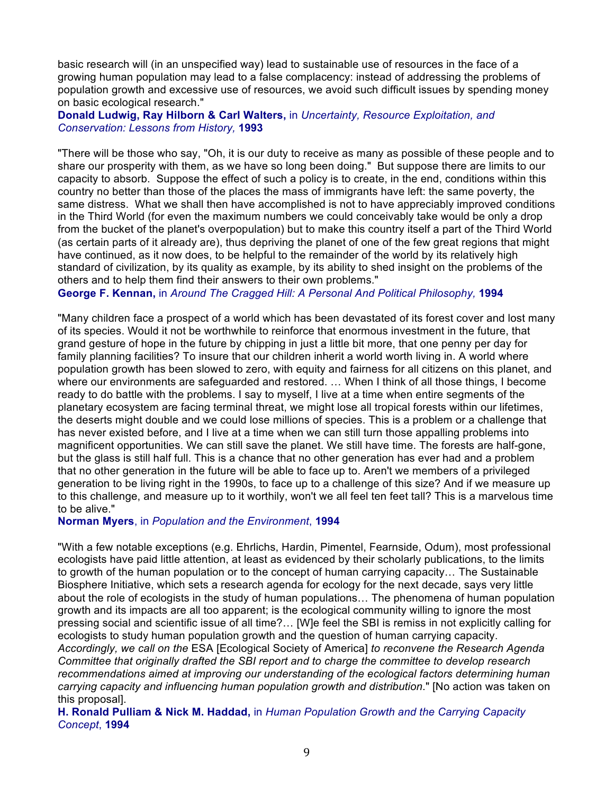basic research will (in an unspecified way) lead to sustainable use of resources in the face of a growing human population may lead to a false complacency: instead of addressing the problems of population growth and excessive use of resources, we avoid such difficult issues by spending money on basic ecological research."

**Donald Ludwig, Ray Hilborn & Carl Walters,** in *Uncertainty, Resource Exploitation, and Conservation: Lessons from History,* **1993**

"There will be those who say, "Oh, it is our duty to receive as many as possible of these people and to share our prosperity with them, as we have so long been doing." But suppose there are limits to our capacity to absorb. Suppose the effect of such a policy is to create, in the end, conditions within this country no better than those of the places the mass of immigrants have left: the same poverty, the same distress. What we shall then have accomplished is not to have appreciably improved conditions in the Third World (for even the maximum numbers we could conceivably take would be only a drop from the bucket of the planet's overpopulation) but to make this country itself a part of the Third World (as certain parts of it already are), thus depriving the planet of one of the few great regions that might have continued, as it now does, to be helpful to the remainder of the world by its relatively high standard of civilization, by its quality as example, by its ability to shed insight on the problems of the others and to help them find their answers to their own problems."

**George F. Kennan,** in *Around The Cragged Hill: A Personal And Political Philosophy,* **1994**

"Many children face a prospect of a world which has been devastated of its forest cover and lost many of its species. Would it not be worthwhile to reinforce that enormous investment in the future, that grand gesture of hope in the future by chipping in just a little bit more, that one penny per day for family planning facilities? To insure that our children inherit a world worth living in. A world where population growth has been slowed to zero, with equity and fairness for all citizens on this planet, and where our environments are safeguarded and restored. … When I think of all those things, I become ready to do battle with the problems. I say to myself, I live at a time when entire segments of the planetary ecosystem are facing terminal threat, we might lose all tropical forests within our lifetimes, the deserts might double and we could lose millions of species. This is a problem or a challenge that has never existed before, and I live at a time when we can still turn those appalling problems into magnificent opportunities. We can still save the planet. We still have time. The forests are half-gone, but the glass is still half full. This is a chance that no other generation has ever had and a problem that no other generation in the future will be able to face up to. Aren't we members of a privileged generation to be living right in the 1990s, to face up to a challenge of this size? And if we measure up to this challenge, and measure up to it worthily, won't we all feel ten feet tall? This is a marvelous time to be alive."

**Norman Myers**, in *Population and the Environment*, **1994**

"With a few notable exceptions (e.g. Ehrlichs, Hardin, Pimentel, Fearnside, Odum), most professional ecologists have paid little attention, at least as evidenced by their scholarly publications, to the limits to growth of the human population or to the concept of human carrying capacity… The Sustainable Biosphere Initiative, which sets a research agenda for ecology for the next decade, says very little about the role of ecologists in the study of human populations… The phenomena of human population growth and its impacts are all too apparent; is the ecological community willing to ignore the most pressing social and scientific issue of all time?… [W]e feel the SBI is remiss in not explicitly calling for ecologists to study human population growth and the question of human carrying capacity.

*Accordingly, we call on the* ESA [Ecological Society of America] *to reconvene the Research Agenda Committee that originally drafted the SBI report and to charge the committee to develop research recommendations aimed at improving our understanding of the ecological factors determining human carrying capacity and influencing human population growth and distribution*." [No action was taken on this proposal].

**H. Ronald Pulliam & Nick M. Haddad,** in *Human Population Growth and the Carrying Capacity Concept*, **1994**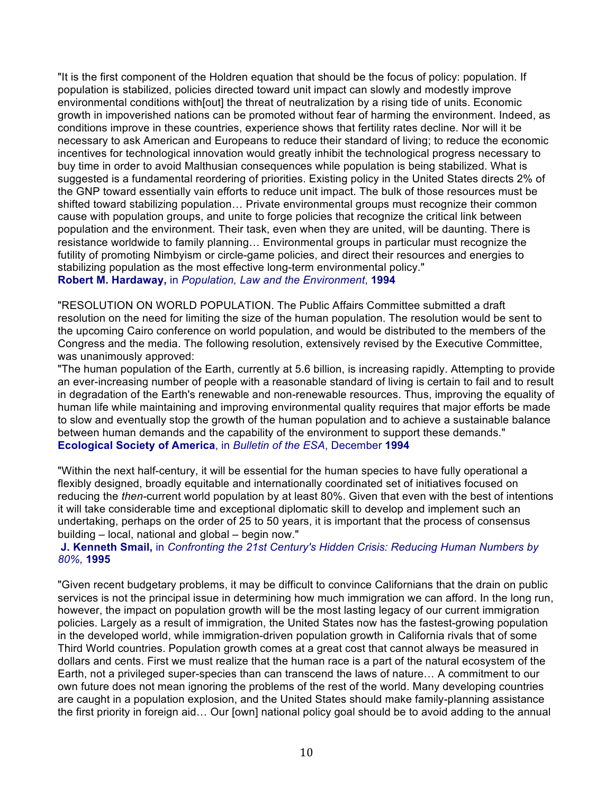"It is the first component of the Holdren equation that should be the focus of policy: population. If population is stabilized, policies directed toward unit impact can slowly and modestly improve environmental conditions with[out] the threat of neutralization by a rising tide of units. Economic growth in impoverished nations can be promoted without fear of harming the environment. Indeed, as conditions improve in these countries, experience shows that fertility rates decline. Nor will it be necessary to ask American and Europeans to reduce their standard of living; to reduce the economic incentives for technological innovation would greatly inhibit the technological progress necessary to buy time in order to avoid Malthusian consequences while population is being stabilized. What is suggested is a fundamental reordering of priorities. Existing policy in the United States directs 2% of the GNP toward essentially vain efforts to reduce unit impact. The bulk of those resources must be shifted toward stabilizing population… Private environmental groups must recognize their common cause with population groups, and unite to forge policies that recognize the critical link between population and the environment. Their task, even when they are united, will be daunting. There is resistance worldwide to family planning… Environmental groups in particular must recognize the futility of promoting Nimbyism or circle-game policies, and direct their resources and energies to stabilizing population as the most effective long-term environmental policy." **Robert M. Hardaway,** in *Population, Law and the Environment*, **1994**

"RESOLUTION ON WORLD POPULATION. The Public Affairs Committee submitted a draft resolution on the need for limiting the size of the human population. The resolution would be sent to the upcoming Cairo conference on world population, and would be distributed to the members of the Congress and the media. The following resolution, extensively revised by the Executive Committee, was unanimously approved:

"The human population of the Earth, currently at 5.6 billion, is increasing rapidly. Attempting to provide an ever-increasing number of people with a reasonable standard of living is certain to fail and to result in degradation of the Earth's renewable and non-renewable resources. Thus, improving the equality of human life while maintaining and improving environmental quality requires that major efforts be made to slow and eventually stop the growth of the human population and to achieve a sustainable balance between human demands and the capability of the environment to support these demands." **Ecological Society of America**, in *Bulletin of the ESA*, December **1994**

"Within the next half-century, it will be essential for the human species to have fully operational a flexibly designed, broadly equitable and internationally coordinated set of initiatives focused on reducing the *then-*current world population by at least 80%. Given that even with the best of intentions it will take considerable time and exceptional diplomatic skill to develop and implement such an undertaking, perhaps on the order of 25 to 50 years, it is important that the process of consensus building – local, national and global – begin now."

# **J. Kenneth Smail,** in *Confronting the 21st Century's Hidden Crisis: Reducing Human Numbers by 80%,* **1995**

"Given recent budgetary problems, it may be difficult to convince Californians that the drain on public services is not the principal issue in determining how much immigration we can afford. In the long run, however, the impact on population growth will be the most lasting legacy of our current immigration policies. Largely as a result of immigration, the United States now has the fastest-growing population in the developed world, while immigration-driven population growth in California rivals that of some Third World countries. Population growth comes at a great cost that cannot always be measured in dollars and cents. First we must realize that the human race is a part of the natural ecosystem of the Earth, not a privileged super-species than can transcend the laws of nature… A commitment to our own future does not mean ignoring the problems of the rest of the world. Many developing countries are caught in a population explosion, and the United States should make family-planning assistance the first priority in foreign aid… Our [own] national policy goal should be to avoid adding to the annual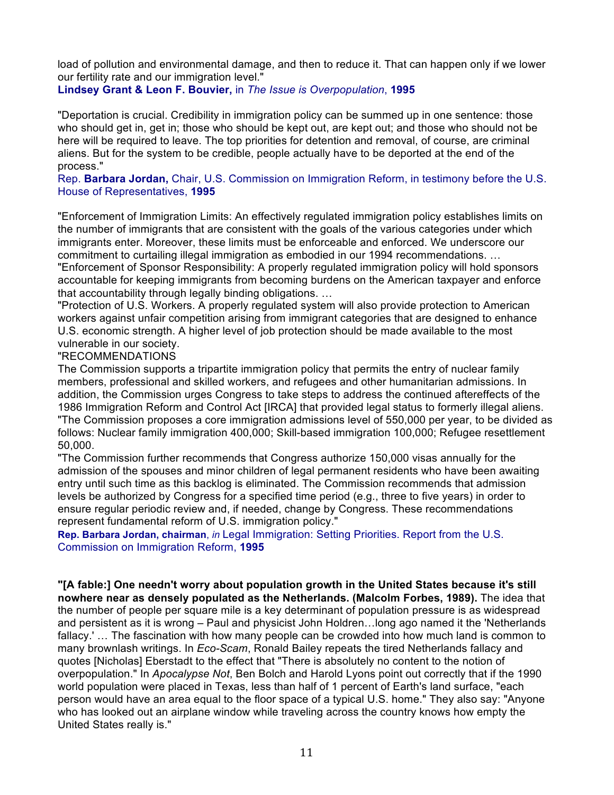load of pollution and environmental damage, and then to reduce it. That can happen only if we lower our fertility rate and our immigration level."

**Lindsey Grant & Leon F. Bouvier,** in *The Issue is Overpopulation*, **1995**

"Deportation is crucial. Credibility in immigration policy can be summed up in one sentence: those who should get in, get in; those who should be kept out, are kept out; and those who should not be here will be required to leave. The top priorities for detention and removal, of course, are criminal aliens. But for the system to be credible, people actually have to be deported at the end of the process."

# Rep. **Barbara Jordan,** Chair, U.S. Commission on Immigration Reform, in testimony before the U.S. House of Representatives, **1995**

"Enforcement of Immigration Limits: An effectively regulated immigration policy establishes limits on the number of immigrants that are consistent with the goals of the various categories under which immigrants enter. Moreover, these limits must be enforceable and enforced. We underscore our commitment to curtailing illegal immigration as embodied in our 1994 recommendations. …

"Enforcement of Sponsor Responsibility: A properly regulated immigration policy will hold sponsors accountable for keeping immigrants from becoming burdens on the American taxpayer and enforce that accountability through legally binding obligations. …

"Protection of U.S. Workers. A properly regulated system will also provide protection to American workers against unfair competition arising from immigrant categories that are designed to enhance U.S. economic strength. A higher level of job protection should be made available to the most vulnerable in our society.

# "RECOMMENDATIONS

The Commission supports a tripartite immigration policy that permits the entry of nuclear family members, professional and skilled workers, and refugees and other humanitarian admissions. In addition, the Commission urges Congress to take steps to address the continued aftereffects of the 1986 Immigration Reform and Control Act [IRCA] that provided legal status to formerly illegal aliens. "The Commission proposes a core immigration admissions level of 550,000 per year, to be divided as follows: Nuclear family immigration 400,000; Skill-based immigration 100,000; Refugee resettlement 50,000.

"The Commission further recommends that Congress authorize 150,000 visas annually for the admission of the spouses and minor children of legal permanent residents who have been awaiting entry until such time as this backlog is eliminated. The Commission recommends that admission levels be authorized by Congress for a specified time period (e.g., three to five years) in order to ensure regular periodic review and, if needed, change by Congress. These recommendations represent fundamental reform of U.S. immigration policy."

**Rep. Barbara Jordan, chairman**, *in* Legal Immigration: Setting Priorities. Report from the U.S. Commission on Immigration Reform, **1995**

**"[A fable:] One needn't worry about population growth in the United States because it's still nowhere near as densely populated as the Netherlands. (Malcolm Forbes, 1989).** The idea that the number of people per square mile is a key determinant of population pressure is as widespread and persistent as it is wrong – Paul and physicist John Holdren…long ago named it the 'Netherlands fallacy.' … The fascination with how many people can be crowded into how much land is common to many brownlash writings. In *Eco-Scam*, Ronald Bailey repeats the tired Netherlands fallacy and quotes [Nicholas] Eberstadt to the effect that "There is absolutely no content to the notion of overpopulation." In *Apocalypse Not*, Ben Bolch and Harold Lyons point out correctly that if the 1990 world population were placed in Texas, less than half of 1 percent of Earth's land surface, "each person would have an area equal to the floor space of a typical U.S. home." They also say: "Anyone who has looked out an airplane window while traveling across the country knows how empty the United States really is."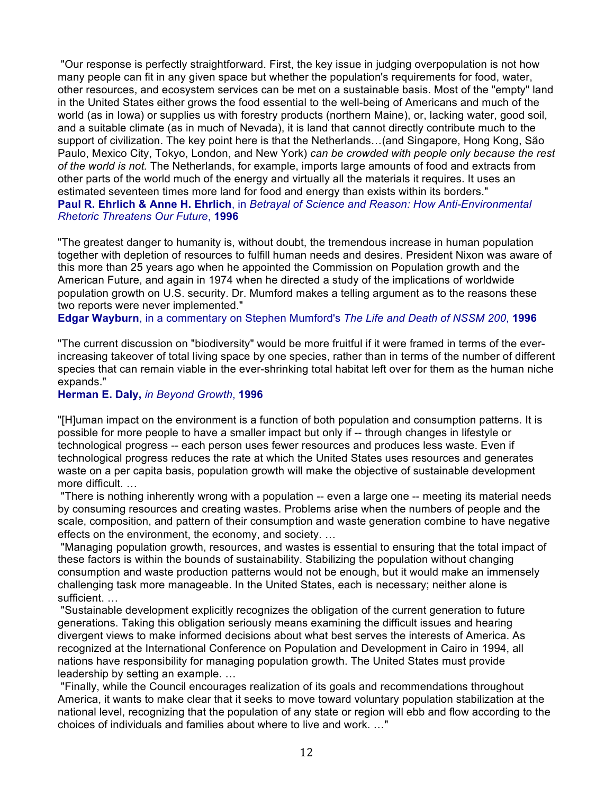"Our response is perfectly straightforward. First, the key issue in judging overpopulation is not how many people can fit in any given space but whether the population's requirements for food, water, other resources, and ecosystem services can be met on a sustainable basis. Most of the "empty" land in the United States either grows the food essential to the well-being of Americans and much of the world (as in Iowa) or supplies us with forestry products (northern Maine), or, lacking water, good soil, and a suitable climate (as in much of Nevada), it is land that cannot directly contribute much to the support of civilization. The key point here is that the Netherlands…(and Singapore, Hong Kong, São Paulo, Mexico City, Tokyo, London, and New York) *can be crowded with people only because the rest of the world is not.* The Netherlands, for example, imports large amounts of food and extracts from other parts of the world much of the energy and virtually all the materials it requires. It uses an estimated seventeen times more land for food and energy than exists within its borders." **Paul R. Ehrlich & Anne H. Ehrlich**, in *Betrayal of Science and Reason: How Anti-Environmental Rhetoric Threatens Our Future*, **1996**

"The greatest danger to humanity is, without doubt, the tremendous increase in human population together with depletion of resources to fulfill human needs and desires. President Nixon was aware of this more than 25 years ago when he appointed the Commission on Population growth and the American Future, and again in 1974 when he directed a study of the implications of worldwide population growth on U.S. security. Dr. Mumford makes a telling argument as to the reasons these two reports were never implemented."

**Edgar Wayburn**, in a commentary on Stephen Mumford's *The Life and Death of NSSM 200*, **1996**

"The current discussion on "biodiversity" would be more fruitful if it were framed in terms of the everincreasing takeover of total living space by one species, rather than in terms of the number of different species that can remain viable in the ever-shrinking total habitat left over for them as the human niche expands."

#### **Herman E. Daly,** *in Beyond Growth*, **1996**

"[H]uman impact on the environment is a function of both population and consumption patterns. It is possible for more people to have a smaller impact but only if -- through changes in lifestyle or technological progress -- each person uses fewer resources and produces less waste. Even if technological progress reduces the rate at which the United States uses resources and generates waste on a per capita basis, population growth will make the objective of sustainable development more difficult. …

"There is nothing inherently wrong with a population -- even a large one -- meeting its material needs by consuming resources and creating wastes. Problems arise when the numbers of people and the scale, composition, and pattern of their consumption and waste generation combine to have negative effects on the environment, the economy, and society. …

"Managing population growth, resources, and wastes is essential to ensuring that the total impact of these factors is within the bounds of sustainability. Stabilizing the population without changing consumption and waste production patterns would not be enough, but it would make an immensely challenging task more manageable. In the United States, each is necessary; neither alone is sufficient. …

"Sustainable development explicitly recognizes the obligation of the current generation to future generations. Taking this obligation seriously means examining the difficult issues and hearing divergent views to make informed decisions about what best serves the interests of America. As recognized at the International Conference on Population and Development in Cairo in 1994, all nations have responsibility for managing population growth. The United States must provide leadership by setting an example. …

"Finally, while the Council encourages realization of its goals and recommendations throughout America, it wants to make clear that it seeks to move toward voluntary population stabilization at the national level, recognizing that the population of any state or region will ebb and flow according to the choices of individuals and families about where to live and work. …"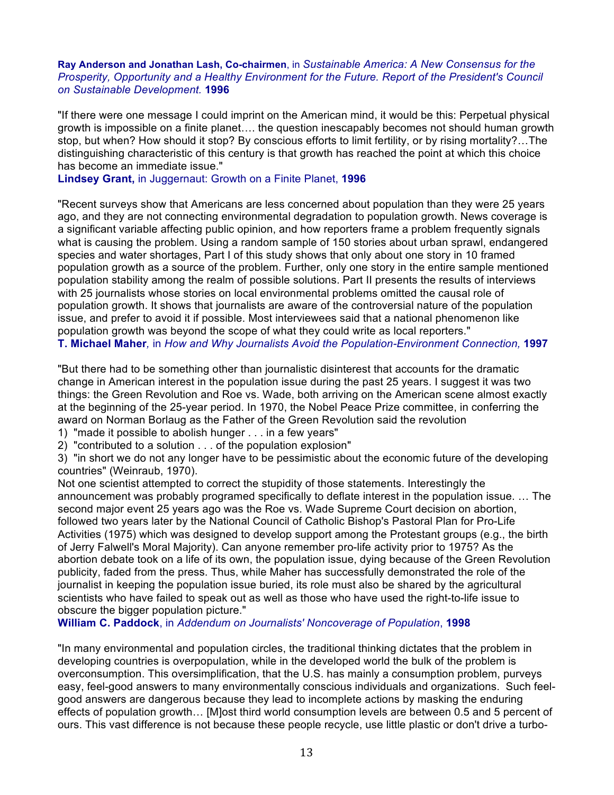#### **Ray Anderson and Jonathan Lash, Co-chairmen**, in *Sustainable America: A New Consensus for the Prosperity, Opportunity and a Healthy Environment for the Future. Report of the President's Council on Sustainable Development.* **1996**

"If there were one message I could imprint on the American mind, it would be this: Perpetual physical growth is impossible on a finite planet…. the question inescapably becomes not should human growth stop, but when? How should it stop? By conscious efforts to limit fertility, or by rising mortality?…The distinguishing characteristic of this century is that growth has reached the point at which this choice has become an immediate issue."

**Lindsey Grant,** in Juggernaut: Growth on a Finite Planet, **1996**

"Recent surveys show that Americans are less concerned about population than they were 25 years ago, and they are not connecting environmental degradation to population growth. News coverage is a significant variable affecting public opinion, and how reporters frame a problem frequently signals what is causing the problem. Using a random sample of 150 stories about urban sprawl, endangered species and water shortages, Part I of this study shows that only about one story in 10 framed population growth as a source of the problem. Further, only one story in the entire sample mentioned population stability among the realm of possible solutions. Part II presents the results of interviews with 25 journalists whose stories on local environmental problems omitted the causal role of population growth. It shows that journalists are aware of the controversial nature of the population issue, and prefer to avoid it if possible. Most interviewees said that a national phenomenon like population growth was beyond the scope of what they could write as local reporters." **T. Michael Maher***,* in *How and Why Journalists Avoid the Population-Environment Connection,* **1997**

"But there had to be something other than journalistic disinterest that accounts for the dramatic change in American interest in the population issue during the past 25 years. I suggest it was two things: the Green Revolution and Roe vs. Wade, both arriving on the American scene almost exactly at the beginning of the 25-year period. In 1970, the Nobel Peace Prize committee, in conferring the award on Norman Borlaug as the Father of the Green Revolution said the revolution

1) "made it possible to abolish hunger . . . in a few years"

2) "contributed to a solution . . . of the population explosion"

3) "in short we do not any longer have to be pessimistic about the economic future of the developing countries" (Weinraub, 1970).

Not one scientist attempted to correct the stupidity of those statements. Interestingly the announcement was probably programed specifically to deflate interest in the population issue. … The second major event 25 years ago was the Roe vs. Wade Supreme Court decision on abortion, followed two years later by the National Council of Catholic Bishop's Pastoral Plan for Pro-Life Activities (1975) which was designed to develop support among the Protestant groups (e.g., the birth of Jerry Falwell's Moral Majority). Can anyone remember pro-life activity prior to 1975? As the abortion debate took on a life of its own, the population issue, dying because of the Green Revolution publicity, faded from the press. Thus, while Maher has successfully demonstrated the role of the journalist in keeping the population issue buried, its role must also be shared by the agricultural scientists who have failed to speak out as well as those who have used the right-to-life issue to obscure the bigger population picture."

**William C. Paddock**, in *Addendum on Journalists' Noncoverage of Population*, **1998**

"In many environmental and population circles, the traditional thinking dictates that the problem in developing countries is overpopulation, while in the developed world the bulk of the problem is overconsumption. This oversimplification, that the U.S. has mainly a consumption problem, purveys easy, feel-good answers to many environmentally conscious individuals and organizations. Such feelgood answers are dangerous because they lead to incomplete actions by masking the enduring effects of population growth… [M]ost third world consumption levels are between 0.5 and 5 percent of ours. This vast difference is not because these people recycle, use little plastic or don't drive a turbo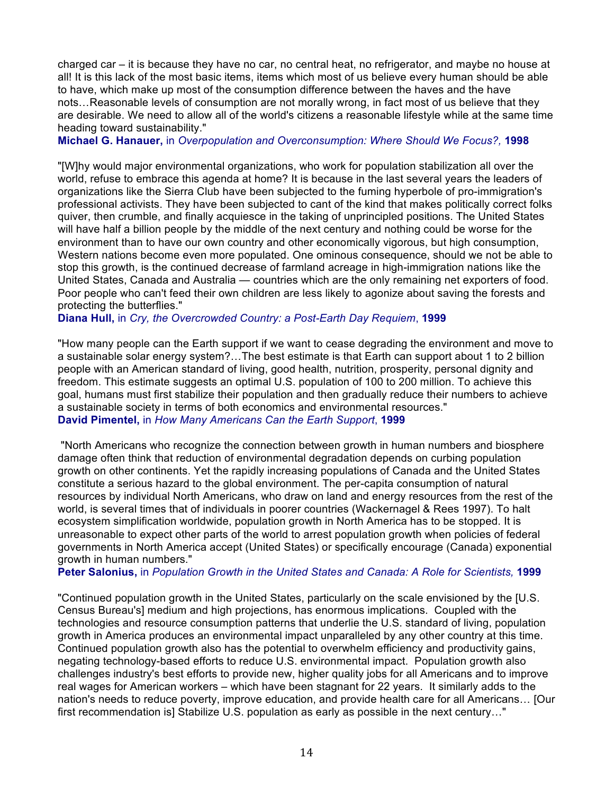charged car – it is because they have no car, no central heat, no refrigerator, and maybe no house at all! It is this lack of the most basic items, items which most of us believe every human should be able to have, which make up most of the consumption difference between the haves and the have nots…Reasonable levels of consumption are not morally wrong, in fact most of us believe that they are desirable. We need to allow all of the world's citizens a reasonable lifestyle while at the same time heading toward sustainability."

**Michael G. Hanauer,** in *Overpopulation and Overconsumption: Where Should We Focus?,* **1998**

"[W]hy would major environmental organizations, who work for population stabilization all over the world, refuse to embrace this agenda at home? It is because in the last several years the leaders of organizations like the Sierra Club have been subjected to the fuming hyperbole of pro-immigration's professional activists. They have been subjected to cant of the kind that makes politically correct folks quiver, then crumble, and finally acquiesce in the taking of unprincipled positions. The United States will have half a billion people by the middle of the next century and nothing could be worse for the environment than to have our own country and other economically vigorous, but high consumption, Western nations become even more populated. One ominous consequence, should we not be able to stop this growth, is the continued decrease of farmland acreage in high-immigration nations like the United States, Canada and Australia — countries which are the only remaining net exporters of food. Poor people who can't feed their own children are less likely to agonize about saving the forests and protecting the butterflies."

**Diana Hull,** in *Cry, the Overcrowded Country: a Post-Earth Day Requiem*, **1999**

"How many people can the Earth support if we want to cease degrading the environment and move to a sustainable solar energy system?…The best estimate is that Earth can support about 1 to 2 billion people with an American standard of living, good health, nutrition, prosperity, personal dignity and freedom. This estimate suggests an optimal U.S. population of 100 to 200 million. To achieve this goal, humans must first stabilize their population and then gradually reduce their numbers to achieve a sustainable society in terms of both economics and environmental resources." **David Pimentel,** in *How Many Americans Can the Earth Support*, **1999**

"North Americans who recognize the connection between growth in human numbers and biosphere damage often think that reduction of environmental degradation depends on curbing population growth on other continents. Yet the rapidly increasing populations of Canada and the United States constitute a serious hazard to the global environment. The per-capita consumption of natural resources by individual North Americans, who draw on land and energy resources from the rest of the world, is several times that of individuals in poorer countries (Wackernagel & Rees 1997). To halt ecosystem simplification worldwide, population growth in North America has to be stopped. It is unreasonable to expect other parts of the world to arrest population growth when policies of federal governments in North America accept (United States) or specifically encourage (Canada) exponential growth in human numbers."

#### **Peter Salonius,** in *Population Growth in the United States and Canada: A Role for Scientists,* **1999**

"Continued population growth in the United States, particularly on the scale envisioned by the [U.S. Census Bureau's] medium and high projections, has enormous implications. Coupled with the technologies and resource consumption patterns that underlie the U.S. standard of living, population growth in America produces an environmental impact unparalleled by any other country at this time. Continued population growth also has the potential to overwhelm efficiency and productivity gains, negating technology-based efforts to reduce U.S. environmental impact. Population growth also challenges industry's best efforts to provide new, higher quality jobs for all Americans and to improve real wages for American workers – which have been stagnant for 22 years. It similarly adds to the nation's needs to reduce poverty, improve education, and provide health care for all Americans… [Our first recommendation is] Stabilize U.S. population as early as possible in the next century..."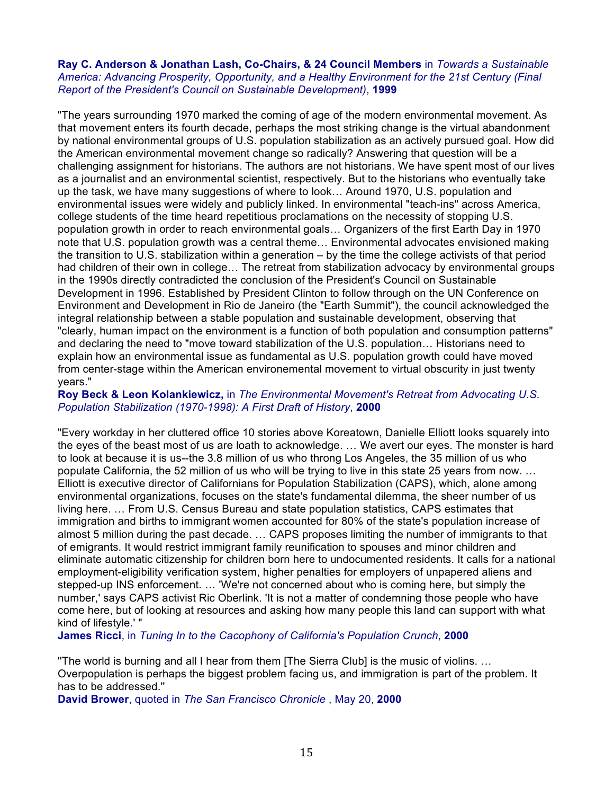#### **Ray C. Anderson & Jonathan Lash, Co-Chairs, & 24 Council Members** in *Towards a Sustainable America: Advancing Prosperity, Opportunity, and a Healthy Environment for the 21st Century (Final Report of the President's Council on Sustainable Development)*, **1999**

"The years surrounding 1970 marked the coming of age of the modern environmental movement. As that movement enters its fourth decade, perhaps the most striking change is the virtual abandonment by national environmental groups of U.S. population stabilization as an actively pursued goal. How did the American environmental movement change so radically? Answering that question will be a challenging assignment for historians. The authors are not historians. We have spent most of our lives as a journalist and an environmental scientist, respectively. But to the historians who eventually take up the task, we have many suggestions of where to look… Around 1970, U.S. population and environmental issues were widely and publicly linked. In environmental "teach-ins" across America, college students of the time heard repetitious proclamations on the necessity of stopping U.S. population growth in order to reach environmental goals… Organizers of the first Earth Day in 1970 note that U.S. population growth was a central theme… Environmental advocates envisioned making the transition to U.S. stabilization within a generation – by the time the college activists of that period had children of their own in college… The retreat from stabilization advocacy by environmental groups in the 1990s directly contradicted the conclusion of the President's Council on Sustainable Development in 1996. Established by President Clinton to follow through on the UN Conference on Environment and Development in Rio de Janeiro (the "Earth Summit"), the council acknowledged the integral relationship between a stable population and sustainable development, observing that "clearly, human impact on the environment is a function of both population and consumption patterns" and declaring the need to "move toward stabilization of the U.S. population… Historians need to explain how an environmental issue as fundamental as U.S. population growth could have moved from center-stage within the American environemental movement to virtual obscurity in just twenty years."

#### **Roy Beck & Leon Kolankiewicz,** in *The Environmental Movement's Retreat from Advocating U.S. Population Stabilization (1970-1998): A First Draft of History*, **2000**

"Every workday in her cluttered office 10 stories above Koreatown, Danielle Elliott looks squarely into the eyes of the beast most of us are loath to acknowledge. … We avert our eyes. The monster is hard to look at because it is us--the 3.8 million of us who throng Los Angeles, the 35 million of us who populate California, the 52 million of us who will be trying to live in this state 25 years from now. … Elliott is executive director of Californians for Population Stabilization (CAPS), which, alone among environmental organizations, focuses on the state's fundamental dilemma, the sheer number of us living here. … From U.S. Census Bureau and state population statistics, CAPS estimates that immigration and births to immigrant women accounted for 80% of the state's population increase of almost 5 million during the past decade. … CAPS proposes limiting the number of immigrants to that of emigrants. It would restrict immigrant family reunification to spouses and minor children and eliminate automatic citizenship for children born here to undocumented residents. It calls for a national employment-eligibility verification system, higher penalties for employers of unpapered aliens and stepped-up INS enforcement. … 'We're not concerned about who is coming here, but simply the number,' says CAPS activist Ric Oberlink. 'It is not a matter of condemning those people who have come here, but of looking at resources and asking how many people this land can support with what kind of lifestyle.' "

**James Ricci**, in *Tuning In to the Cacophony of California's Population Crunch*, **2000**

''The world is burning and all I hear from them [The Sierra Club] is the music of violins. … Overpopulation is perhaps the biggest problem facing us, and immigration is part of the problem. It has to be addressed.''

**David Brower**, quoted in *The San Francisco Chronicle* , May 20, **2000**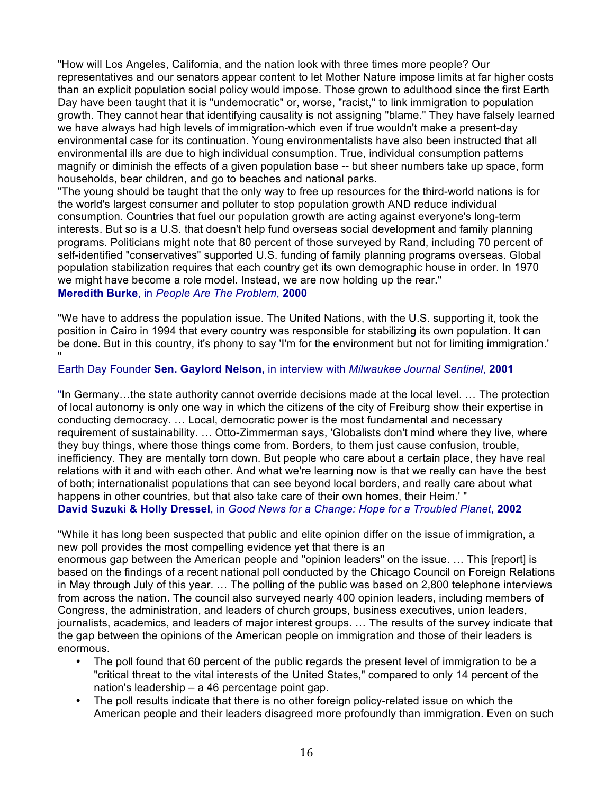"How will Los Angeles, California, and the nation look with three times more people? Our representatives and our senators appear content to let Mother Nature impose limits at far higher costs than an explicit population social policy would impose. Those grown to adulthood since the first Earth Day have been taught that it is "undemocratic" or, worse, "racist," to link immigration to population growth. They cannot hear that identifying causality is not assigning "blame." They have falsely learned we have always had high levels of immigration-which even if true wouldn't make a present-day environmental case for its continuation. Young environmentalists have also been instructed that all environmental ills are due to high individual consumption. True, individual consumption patterns magnify or diminish the effects of a given population base -- but sheer numbers take up space, form households, bear children, and go to beaches and national parks.

"The young should be taught that the only way to free up resources for the third-world nations is for the world's largest consumer and polluter to stop population growth AND reduce individual consumption. Countries that fuel our population growth are acting against everyone's long-term interests. But so is a U.S. that doesn't help fund overseas social development and family planning programs. Politicians might note that 80 percent of those surveyed by Rand, including 70 percent of self-identified "conservatives" supported U.S. funding of family planning programs overseas. Global population stabilization requires that each country get its own demographic house in order. In 1970 we might have become a role model. Instead, we are now holding up the rear." **Meredith Burke**, in *People Are The Problem*, **2000**

"We have to address the population issue. The United Nations, with the U.S. supporting it, took the position in Cairo in 1994 that every country was responsible for stabilizing its own population. It can be done. But in this country, it's phony to say 'I'm for the environment but not for limiting immigration.' "

# Earth Day Founder **Sen. Gaylord Nelson,** in interview with *Milwaukee Journal Sentinel*, **2001**

"In Germany…the state authority cannot override decisions made at the local level. … The protection of local autonomy is only one way in which the citizens of the city of Freiburg show their expertise in conducting democracy. … Local, democratic power is the most fundamental and necessary requirement of sustainability. … Otto-Zimmerman says, 'Globalists don't mind where they live, where they buy things, where those things come from. Borders, to them just cause confusion, trouble, inefficiency. They are mentally torn down. But people who care about a certain place, they have real relations with it and with each other. And what we're learning now is that we really can have the best of both; internationalist populations that can see beyond local borders, and really care about what happens in other countries, but that also take care of their own homes, their Heim.' " **David Suzuki & Holly Dressel**, in *Good News for a Change: Hope for a Troubled Planet*, **2002**

"While it has long been suspected that public and elite opinion differ on the issue of immigration, a new poll provides the most compelling evidence yet that there is an

enormous gap between the American people and "opinion leaders" on the issue. … This [report] is based on the findings of a recent national poll conducted by the Chicago Council on Foreign Relations in May through July of this year. … The polling of the public was based on 2,800 telephone interviews from across the nation. The council also surveyed nearly 400 opinion leaders, including members of Congress, the administration, and leaders of church groups, business executives, union leaders, journalists, academics, and leaders of major interest groups. … The results of the survey indicate that the gap between the opinions of the American people on immigration and those of their leaders is enormous.

- The poll found that 60 percent of the public regards the present level of immigration to be a "critical threat to the vital interests of the United States," compared to only 14 percent of the nation's leadership – a 46 percentage point gap.
- The poll results indicate that there is no other foreign policy-related issue on which the American people and their leaders disagreed more profoundly than immigration. Even on such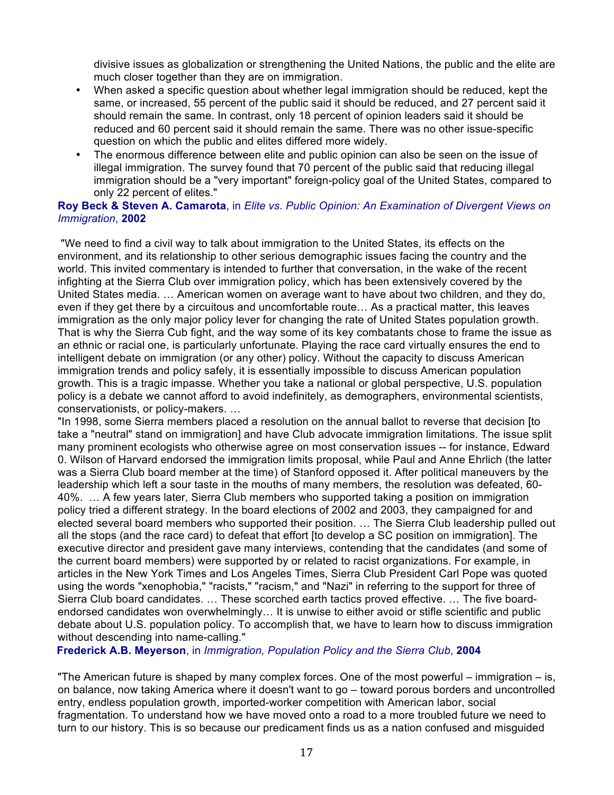divisive issues as globalization or strengthening the United Nations, the public and the elite are much closer together than they are on immigration.

- When asked a specific question about whether legal immigration should be reduced, kept the same, or increased, 55 percent of the public said it should be reduced, and 27 percent said it should remain the same. In contrast, only 18 percent of opinion leaders said it should be reduced and 60 percent said it should remain the same. There was no other issue-specific question on which the public and elites differed more widely.
- The enormous difference between elite and public opinion can also be seen on the issue of illegal immigration. The survey found that 70 percent of the public said that reducing illegal immigration should be a "very important" foreign-policy goal of the United States, compared to only 22 percent of elites."

# **Roy Beck & Steven A. Camarota**, in *Elite vs. Public Opinion: An Examination of Divergent Views on Immigration*, **2002**

"We need to find a civil way to talk about immigration to the United States, its effects on the environment, and its relationship to other serious demographic issues facing the country and the world. This invited commentary is intended to further that conversation, in the wake of the recent infighting at the Sierra Club over immigration policy, which has been extensively covered by the United States media. … American women on average want to have about two children, and they do, even if they get there by a circuitous and uncomfortable route… As a practical matter, this leaves immigration as the only major policy lever for changing the rate of United States population growth. That is why the Sierra Cub fight, and the way some of its key combatants chose to frame the issue as an ethnic or racial one, is particularly unfortunate. Playing the race card virtually ensures the end to intelligent debate on immigration (or any other) policy. Without the capacity to discuss American immigration trends and policy safely, it is essentially impossible to discuss American population growth. This is a tragic impasse. Whether you take a national or global perspective, U.S. population policy is a debate we cannot afford to avoid indefinitely, as demographers, environmental scientists, conservationists, or policy-makers. …

"In 1998, some Sierra members placed a resolution on the annual ballot to reverse that decision [to take a "neutral" stand on immigration] and have Club advocate immigration limitations. The issue split many prominent ecologists who otherwise agree on most conservation issues -- for instance, Edward 0. Wilson of Harvard endorsed the immigration limits proposal, while Paul and Anne Ehrlich (the latter was a Sierra Club board member at the time) of Stanford opposed it. After political maneuvers by the leadership which left a sour taste in the mouths of many members, the resolution was defeated, 60- 40%. … A few years later, Sierra Club members who supported taking a position on immigration policy tried a different strategy. In the board elections of 2002 and 2003, they campaigned for and elected several board members who supported their position. … The Sierra Club leadership pulled out all the stops (and the race card) to defeat that effort [to develop a SC position on immigration]. The executive director and president gave many interviews, contending that the candidates (and some of the current board members) were supported by or related to racist organizations. For example, in articles in the New York Times and Los Angeles Times, Sierra Club President Carl Pope was quoted using the words "xenophobia," "racists," "racism," and "Nazi" in referring to the support for three of Sierra Club board candidates. … These scorched earth tactics proved effective. … The five boardendorsed candidates won overwhelmingly… It is unwise to either avoid or stifle scientific and public debate about U.S. population policy. To accomplish that, we have to learn how to discuss immigration without descending into name-calling."

**Frederick A.B. Meyerson**, in *Immigration, Population Policy and the Sierra Club*, **2004**

"The American future is shaped by many complex forces. One of the most powerful – immigration – is, on balance, now taking America where it doesn't want to go – toward porous borders and uncontrolled entry, endless population growth, imported-worker competition with American labor, social fragmentation. To understand how we have moved onto a road to a more troubled future we need to turn to our history. This is so because our predicament finds us as a nation confused and misguided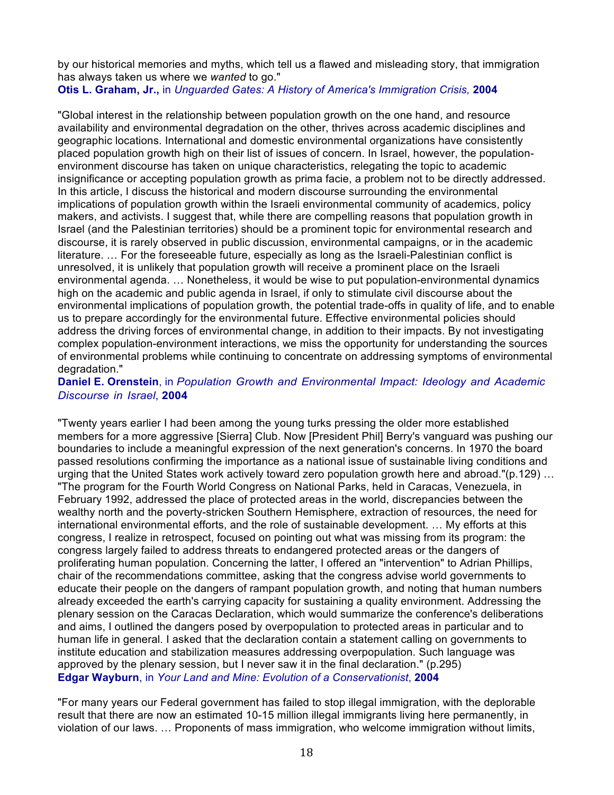by our historical memories and myths, which tell us a flawed and misleading story, that immigration has always taken us where we *wanted* to go." **Otis L. Graham, Jr.,** in *Unguarded Gates: A History of America's Immigration Crisis,* **2004**

"Global interest in the relationship between population growth on the one hand, and resource availability and environmental degradation on the other, thrives across academic disciplines and geographic locations. International and domestic environmental organizations have consistently placed population growth high on their list of issues of concern. In Israel, however, the populationenvironment discourse has taken on unique characteristics, relegating the topic to academic insignificance or accepting population growth as prima facie, a problem not to be directly addressed. In this article, I discuss the historical and modern discourse surrounding the environmental implications of population growth within the Israeli environmental community of academics, policy makers, and activists. I suggest that, while there are compelling reasons that population growth in Israel (and the Palestinian territories) should be a prominent topic for environmental research and discourse, it is rarely observed in public discussion, environmental campaigns, or in the academic literature. … For the foreseeable future, especially as long as the Israeli-Palestinian conflict is unresolved, it is unlikely that population growth will receive a prominent place on the Israeli environmental agenda. … Nonetheless, it would be wise to put population-environmental dynamics high on the academic and public agenda in Israel, if only to stimulate civil discourse about the environmental implications of population growth, the potential trade-offs in quality of life, and to enable us to prepare accordingly for the environmental future. Effective environmental policies should address the driving forces of environmental change, in addition to their impacts. By not investigating complex population-environment interactions, we miss the opportunity for understanding the sources of environmental problems while continuing to concentrate on addressing symptoms of environmental degradation."

# **Daniel E. Orenstein**, in *Population Growth and Environmental Impact: Ideology and Academic Discourse in Israel*, **2004**

"Twenty years earlier I had been among the young turks pressing the older more established members for a more aggressive [Sierra] Club. Now [President Phil] Berry's vanguard was pushing our boundaries to include a meaningful expression of the next generation's concerns. In 1970 the board passed resolutions confirming the importance as a national issue of sustainable living conditions and urging that the United States work actively toward zero population growth here and abroad."(p.129) … "The program for the Fourth World Congress on National Parks, held in Caracas, Venezuela, in February 1992, addressed the place of protected areas in the world, discrepancies between the wealthy north and the poverty-stricken Southern Hemisphere, extraction of resources, the need for international environmental efforts, and the role of sustainable development. … My efforts at this congress, I realize in retrospect, focused on pointing out what was missing from its program: the congress largely failed to address threats to endangered protected areas or the dangers of proliferating human population. Concerning the latter, I offered an "intervention" to Adrian Phillips, chair of the recommendations committee, asking that the congress advise world governments to educate their people on the dangers of rampant population growth, and noting that human numbers already exceeded the earth's carrying capacity for sustaining a quality environment. Addressing the plenary session on the Caracas Declaration, which would summarize the conference's deliberations and aims, I outlined the dangers posed by overpopulation to protected areas in particular and to human life in general. I asked that the declaration contain a statement calling on governments to institute education and stabilization measures addressing overpopulation. Such language was approved by the plenary session, but I never saw it in the final declaration." (p.295) **Edgar Wayburn**, in *Your Land and Mine: Evolution of a Conservationist*, **2004**

"For many years our Federal government has failed to stop illegal immigration, with the deplorable result that there are now an estimated 10-15 million illegal immigrants living here permanently, in violation of our laws. … Proponents of mass immigration, who welcome immigration without limits,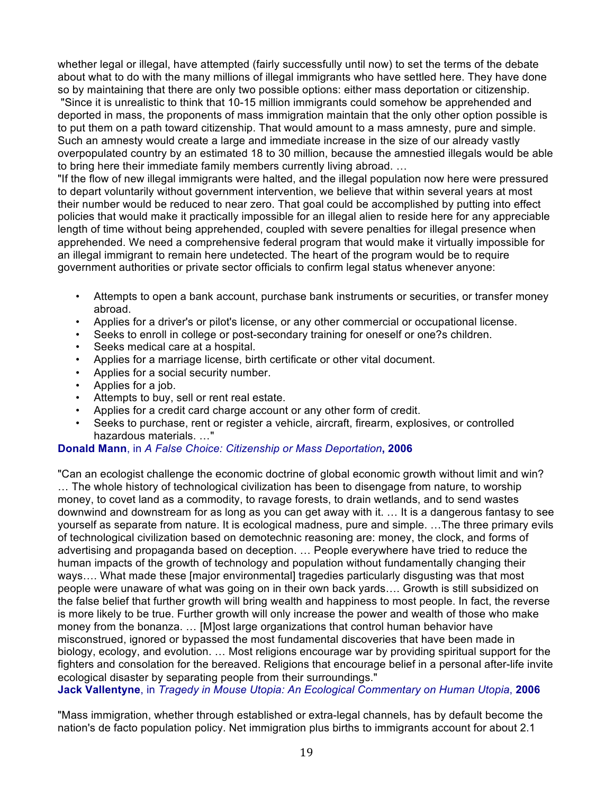whether legal or illegal, have attempted (fairly successfully until now) to set the terms of the debate about what to do with the many millions of illegal immigrants who have settled here. They have done so by maintaining that there are only two possible options: either mass deportation or citizenship.

"Since it is unrealistic to think that 10-15 million immigrants could somehow be apprehended and deported in mass, the proponents of mass immigration maintain that the only other option possible is to put them on a path toward citizenship. That would amount to a mass amnesty, pure and simple. Such an amnesty would create a large and immediate increase in the size of our already vastly overpopulated country by an estimated 18 to 30 million, because the amnestied illegals would be able to bring here their immediate family members currently living abroad. …

"If the flow of new illegal immigrants were halted, and the illegal population now here were pressured to depart voluntarily without government intervention, we believe that within several years at most their number would be reduced to near zero. That goal could be accomplished by putting into effect policies that would make it practically impossible for an illegal alien to reside here for any appreciable length of time without being apprehended, coupled with severe penalties for illegal presence when apprehended. We need a comprehensive federal program that would make it virtually impossible for an illegal immigrant to remain here undetected. The heart of the program would be to require government authorities or private sector officials to confirm legal status whenever anyone:

- Attempts to open a bank account, purchase bank instruments or securities, or transfer money abroad.
- Applies for a driver's or pilot's license, or any other commercial or occupational license.
- Seeks to enroll in college or post-secondary training for oneself or one?s children.
- Seeks medical care at a hospital.
- Applies for a marriage license, birth certificate or other vital document.
- Applies for a social security number.
- Applies for a job.
- Attempts to buy, sell or rent real estate.
- Applies for a credit card charge account or any other form of credit.
- Seeks to purchase, rent or register a vehicle, aircraft, firearm, explosives, or controlled hazardous materials. …"

#### **Donald Mann**, in *A False Choice: Citizenship or Mass Deportation***, 2006**

"Can an ecologist challenge the economic doctrine of global economic growth without limit and win? … The whole history of technological civilization has been to disengage from nature, to worship money, to covet land as a commodity, to ravage forests, to drain wetlands, and to send wastes downwind and downstream for as long as you can get away with it. … It is a dangerous fantasy to see yourself as separate from nature. It is ecological madness, pure and simple. …The three primary evils of technological civilization based on demotechnic reasoning are: money, the clock, and forms of advertising and propaganda based on deception. … People everywhere have tried to reduce the human impacts of the growth of technology and population without fundamentally changing their ways…. What made these [major environmental] tragedies particularly disgusting was that most people were unaware of what was going on in their own back yards…. Growth is still subsidized on the false belief that further growth will bring wealth and happiness to most people. In fact, the reverse is more likely to be true. Further growth will only increase the power and wealth of those who make money from the bonanza. … [M]ost large organizations that control human behavior have misconstrued, ignored or bypassed the most fundamental discoveries that have been made in biology, ecology, and evolution. … Most religions encourage war by providing spiritual support for the fighters and consolation for the bereaved. Religions that encourage belief in a personal after-life invite ecological disaster by separating people from their surroundings."

**Jack Vallentyne**, in *Tragedy in Mouse Utopia: An Ecological Commentary on Human Utopia*, **2006**

"Mass immigration, whether through established or extra-legal channels, has by default become the nation's de facto population policy. Net immigration plus births to immigrants account for about 2.1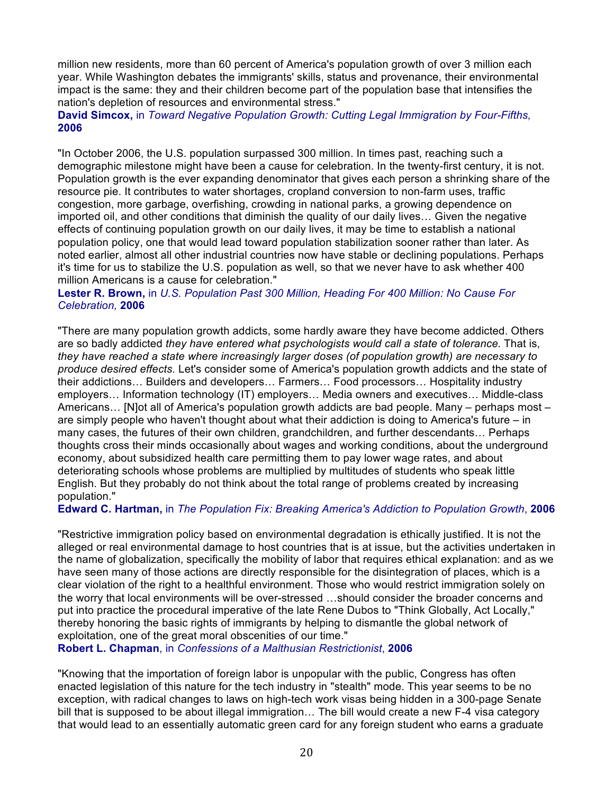million new residents, more than 60 percent of America's population growth of over 3 million each year. While Washington debates the immigrants' skills, status and provenance, their environmental impact is the same: they and their children become part of the population base that intensifies the nation's depletion of resources and environmental stress."

**David Simcox,** in *Toward Negative Population Growth: Cutting Legal Immigration by Four-Fifths,* **2006**

"In October 2006, the U.S. population surpassed 300 million. In times past, reaching such a demographic milestone might have been a cause for celebration. In the twenty-first century, it is not. Population growth is the ever expanding denominator that gives each person a shrinking share of the resource pie. It contributes to water shortages, cropland conversion to non-farm uses, traffic congestion, more garbage, overfishing, crowding in national parks, a growing dependence on imported oil, and other conditions that diminish the quality of our daily lives… Given the negative effects of continuing population growth on our daily lives, it may be time to establish a national population policy, one that would lead toward population stabilization sooner rather than later. As noted earlier, almost all other industrial countries now have stable or declining populations. Perhaps it's time for us to stabilize the U.S. population as well, so that we never have to ask whether 400 million Americans is a cause for celebration."

# **Lester R. Brown,** in *U.S. Population Past 300 Million, Heading For 400 Million: No Cause For Celebration,* **2006**

"There are many population growth addicts, some hardly aware they have become addicted. Others are so badly addicted *they have entered what psychologists would call a state of tolerance.* That is, *they have reached a state where increasingly larger doses (of population growth) are necessary to produce desired effects.* Let's consider some of America's population growth addicts and the state of their addictions… Builders and developers… Farmers… Food processors… Hospitality industry employers… Information technology (IT) employers… Media owners and executives… Middle-class Americans… [N]ot all of America's population growth addicts are bad people. Many – perhaps most – are simply people who haven't thought about what their addiction is doing to America's future – in many cases, the futures of their own children, grandchildren, and further descendants… Perhaps thoughts cross their minds occasionally about wages and working conditions, about the underground economy, about subsidized health care permitting them to pay lower wage rates, and about deteriorating schools whose problems are multiplied by multitudes of students who speak little English. But they probably do not think about the total range of problems created by increasing population."

**Edward C. Hartman,** in *The Population Fix: Breaking America's Addiction to Population Growth*, **2006**

"Restrictive immigration policy based on environmental degradation is ethically justified. It is not the alleged or real environmental damage to host countries that is at issue, but the activities undertaken in the name of globalization, specifically the mobility of labor that requires ethical explanation: and as we have seen many of those actions are directly responsible for the disintegration of places, which is a clear violation of the right to a healthful environment. Those who would restrict immigration solely on the worry that local environments will be over-stressed …should consider the broader concerns and put into practice the procedural imperative of the late Rene Dubos to "Think Globally, Act Locally," thereby honoring the basic rights of immigrants by helping to dismantle the global network of exploitation, one of the great moral obscenities of our time." **Robert L. Chapman**, in *Confessions of a Malthusian Restrictionist*, **2006**

"Knowing that the importation of foreign labor is unpopular with the public, Congress has often enacted legislation of this nature for the tech industry in "stealth" mode. This year seems to be no exception, with radical changes to laws on high-tech work visas being hidden in a 300-page Senate bill that is supposed to be about illegal immigration... The bill would create a new F-4 visa category that would lead to an essentially automatic green card for any foreign student who earns a graduate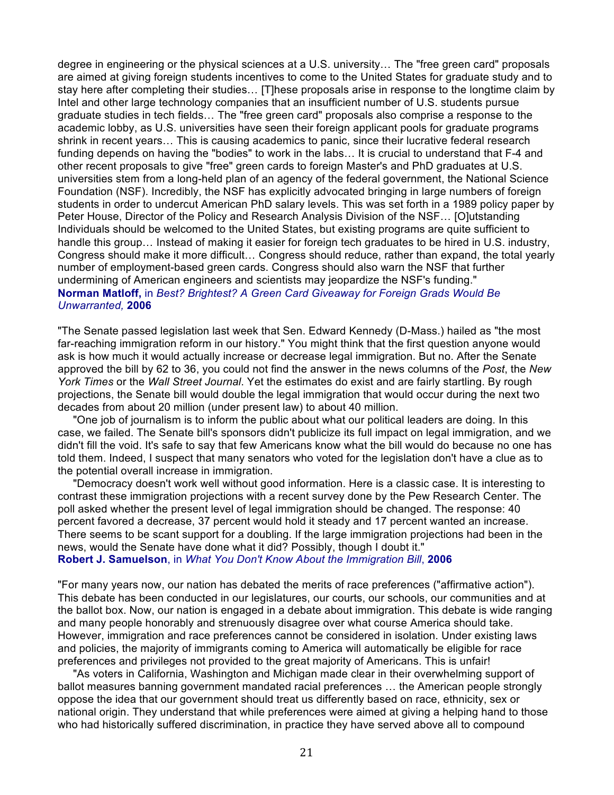degree in engineering or the physical sciences at a U.S. university… The "free green card" proposals are aimed at giving foreign students incentives to come to the United States for graduate study and to stay here after completing their studies… [T]hese proposals arise in response to the longtime claim by Intel and other large technology companies that an insufficient number of U.S. students pursue graduate studies in tech fields… The "free green card" proposals also comprise a response to the academic lobby, as U.S. universities have seen their foreign applicant pools for graduate programs shrink in recent years… This is causing academics to panic, since their lucrative federal research funding depends on having the "bodies" to work in the labs… It is crucial to understand that F-4 and other recent proposals to give "free" green cards to foreign Master's and PhD graduates at U.S. universities stem from a long-held plan of an agency of the federal government, the National Science Foundation (NSF). Incredibly, the NSF has explicitly advocated bringing in large numbers of foreign students in order to undercut American PhD salary levels. This was set forth in a 1989 policy paper by Peter House, Director of the Policy and Research Analysis Division of the NSF… [O]utstanding Individuals should be welcomed to the United States, but existing programs are quite sufficient to handle this group… Instead of making it easier for foreign tech graduates to be hired in U.S. industry, Congress should make it more difficult… Congress should reduce, rather than expand, the total yearly number of employment-based green cards. Congress should also warn the NSF that further undermining of American engineers and scientists may jeopardize the NSF's funding." **Norman Matloff,** in *Best? Brightest? A Green Card Giveaway for Foreign Grads Would Be Unwarranted,* **2006**

"The Senate passed legislation last week that Sen. Edward Kennedy (D-Mass.) hailed as "the most far-reaching immigration reform in our history." You might think that the first question anyone would ask is how much it would actually increase or decrease legal immigration. But no. After the Senate approved the bill by 62 to 36, you could not find the answer in the news columns of the *Post*, the *New York Times* or the *Wall Street Journal*. Yet the estimates do exist and are fairly startling. By rough projections, the Senate bill would double the legal immigration that would occur during the next two decades from about 20 million (under present law) to about 40 million.

 "One job of journalism is to inform the public about what our political leaders are doing. In this case, we failed. The Senate bill's sponsors didn't publicize its full impact on legal immigration, and we didn't fill the void. It's safe to say that few Americans know what the bill would do because no one has told them. Indeed, I suspect that many senators who voted for the legislation don't have a clue as to the potential overall increase in immigration.

 "Democracy doesn't work well without good information. Here is a classic case. It is interesting to contrast these immigration projections with a recent survey done by the Pew Research Center. The poll asked whether the present level of legal immigration should be changed. The response: 40 percent favored a decrease, 37 percent would hold it steady and 17 percent wanted an increase. There seems to be scant support for a doubling. If the large immigration projections had been in the news, would the Senate have done what it did? Possibly, though I doubt it."

**Robert J. Samuelson**, in *What You Don't Know About the Immigration Bill*, **2006**

"For many years now, our nation has debated the merits of race preferences ("affirmative action"). This debate has been conducted in our legislatures, our courts, our schools, our communities and at the ballot box. Now, our nation is engaged in a debate about immigration. This debate is wide ranging and many people honorably and strenuously disagree over what course America should take. However, immigration and race preferences cannot be considered in isolation. Under existing laws and policies, the majority of immigrants coming to America will automatically be eligible for race preferences and privileges not provided to the great majority of Americans. This is unfair!

 "As voters in California, Washington and Michigan made clear in their overwhelming support of ballot measures banning government mandated racial preferences … the American people strongly oppose the idea that our government should treat us differently based on race, ethnicity, sex or national origin. They understand that while preferences were aimed at giving a helping hand to those who had historically suffered discrimination, in practice they have served above all to compound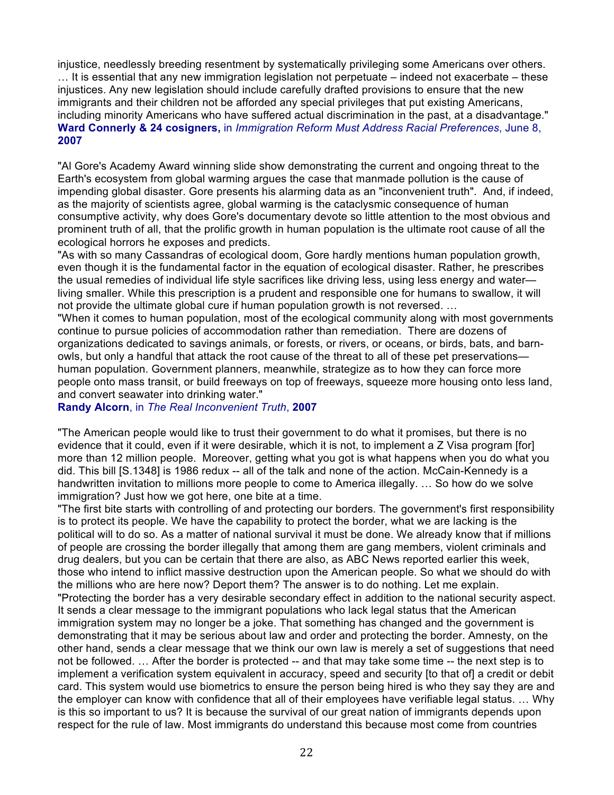injustice, needlessly breeding resentment by systematically privileging some Americans over others. … It is essential that any new immigration legislation not perpetuate – indeed not exacerbate – these injustices. Any new legislation should include carefully drafted provisions to ensure that the new immigrants and their children not be afforded any special privileges that put existing Americans, including minority Americans who have suffered actual discrimination in the past, at a disadvantage." **Ward Connerly & 24 cosigners,** in *Immigration Reform Must Address Racial Preferences*, June 8, **2007**

"Al Gore's Academy Award winning slide show demonstrating the current and ongoing threat to the Earth's ecosystem from global warming argues the case that manmade pollution is the cause of impending global disaster. Gore presents his alarming data as an "inconvenient truth". And, if indeed, as the majority of scientists agree, global warming is the cataclysmic consequence of human consumptive activity, why does Gore's documentary devote so little attention to the most obvious and prominent truth of all, that the prolific growth in human population is the ultimate root cause of all the ecological horrors he exposes and predicts.

"As with so many Cassandras of ecological doom, Gore hardly mentions human population growth, even though it is the fundamental factor in the equation of ecological disaster. Rather, he prescribes the usual remedies of individual life style sacrifices like driving less, using less energy and water living smaller. While this prescription is a prudent and responsible one for humans to swallow, it will not provide the ultimate global cure if human population growth is not reversed. …

"When it comes to human population, most of the ecological community along with most governments continue to pursue policies of accommodation rather than remediation. There are dozens of organizations dedicated to savings animals, or forests, or rivers, or oceans, or birds, bats, and barnowls, but only a handful that attack the root cause of the threat to all of these pet preservations human population. Government planners, meanwhile, strategize as to how they can force more people onto mass transit, or build freeways on top of freeways, squeeze more housing onto less land, and convert seawater into drinking water."

**Randy Alcorn**, in *The Real Inconvenient Truth*, **2007**

"The American people would like to trust their government to do what it promises, but there is no evidence that it could, even if it were desirable, which it is not, to implement a Z Visa program [for] more than 12 million people. Moreover, getting what you got is what happens when you do what you did. This bill [S.1348] is 1986 redux -- all of the talk and none of the action. McCain-Kennedy is a handwritten invitation to millions more people to come to America illegally. … So how do we solve immigration? Just how we got here, one bite at a time.

"The first bite starts with controlling of and protecting our borders. The government's first responsibility is to protect its people. We have the capability to protect the border, what we are lacking is the political will to do so. As a matter of national survival it must be done. We already know that if millions of people are crossing the border illegally that among them are gang members, violent criminals and drug dealers, but you can be certain that there are also, as ABC News reported earlier this week, those who intend to inflict massive destruction upon the American people. So what we should do with the millions who are here now? Deport them? The answer is to do nothing. Let me explain. "Protecting the border has a very desirable secondary effect in addition to the national security aspect. It sends a clear message to the immigrant populations who lack legal status that the American immigration system may no longer be a joke. That something has changed and the government is demonstrating that it may be serious about law and order and protecting the border. Amnesty, on the other hand, sends a clear message that we think our own law is merely a set of suggestions that need not be followed. … After the border is protected -- and that may take some time -- the next step is to implement a verification system equivalent in accuracy, speed and security [to that of] a credit or debit card. This system would use biometrics to ensure the person being hired is who they say they are and the employer can know with confidence that all of their employees have verifiable legal status. … Why is this so important to us? It is because the survival of our great nation of immigrants depends upon respect for the rule of law. Most immigrants do understand this because most come from countries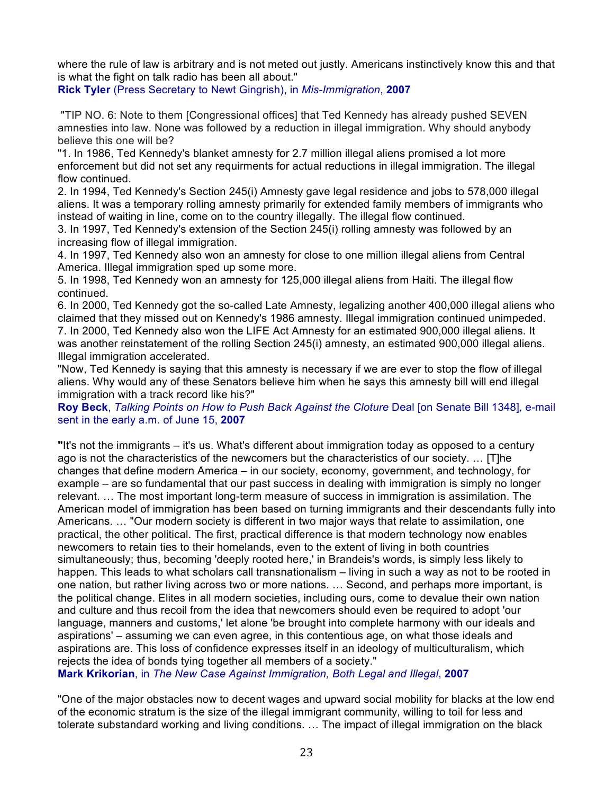where the rule of law is arbitrary and is not meted out justly. Americans instinctively know this and that is what the fight on talk radio has been all about."

**Rick Tyler** (Press Secretary to Newt Gingrish), in *Mis-Immigration*, **2007**

"TIP NO. 6: Note to them [Congressional offices] that Ted Kennedy has already pushed SEVEN amnesties into law. None was followed by a reduction in illegal immigration. Why should anybody believe this one will be?

"1. In 1986, Ted Kennedy's blanket amnesty for 2.7 million illegal aliens promised a lot more enforcement but did not set any requirments for actual reductions in illegal immigration. The illegal flow continued.

2. In 1994, Ted Kennedy's Section 245(i) Amnesty gave legal residence and jobs to 578,000 illegal aliens. It was a temporary rolling amnesty primarily for extended family members of immigrants who instead of waiting in line, come on to the country illegally. The illegal flow continued.

3. In 1997, Ted Kennedy's extension of the Section 245(i) rolling amnesty was followed by an increasing flow of illegal immigration.

4. In 1997, Ted Kennedy also won an amnesty for close to one million illegal aliens from Central America. Illegal immigration sped up some more.

5. In 1998, Ted Kennedy won an amnesty for 125,000 illegal aliens from Haiti. The illegal flow continued.

6. In 2000, Ted Kennedy got the so-called Late Amnesty, legalizing another 400,000 illegal aliens who claimed that they missed out on Kennedy's 1986 amnesty. Illegal immigration continued unimpeded. 7. In 2000, Ted Kennedy also won the LIFE Act Amnesty for an estimated 900,000 illegal aliens. It was another reinstatement of the rolling Section 245(i) amnesty, an estimated 900,000 illegal aliens. Illegal immigration accelerated.

"Now, Ted Kennedy is saying that this amnesty is necessary if we are ever to stop the flow of illegal aliens. Why would any of these Senators believe him when he says this amnesty bill will end illegal immigration with a track record like his?"

**Roy Beck**, *Talking Points on How to Push Back Against the Cloture* Deal [on Senate Bill 1348]*,* e-mail sent in the early a.m. of June 15, **2007**

**"**It's not the immigrants – it's us. What's different about immigration today as opposed to a century ago is not the characteristics of the newcomers but the characteristics of our society. … [T]he changes that define modern America – in our society, economy, government, and technology, for example – are so fundamental that our past success in dealing with immigration is simply no longer relevant. … The most important long-term measure of success in immigration is assimilation. The American model of immigration has been based on turning immigrants and their descendants fully into Americans. … "Our modern society is different in two major ways that relate to assimilation, one practical, the other political. The first, practical difference is that modern technology now enables newcomers to retain ties to their homelands, even to the extent of living in both countries simultaneously; thus, becoming 'deeply rooted here,' in Brandeis's words, is simply less likely to happen. This leads to what scholars call transnationalism – living in such a way as not to be rooted in one nation, but rather living across two or more nations. … Second, and perhaps more important, is the political change. Elites in all modern societies, including ours, come to devalue their own nation and culture and thus recoil from the idea that newcomers should even be required to adopt 'our language, manners and customs,' let alone 'be brought into complete harmony with our ideals and aspirations' – assuming we can even agree, in this contentious age, on what those ideals and aspirations are. This loss of confidence expresses itself in an ideology of multiculturalism, which rejects the idea of bonds tying together all members of a society."

**Mark Krikorian**, in *The New Case Against Immigration, Both Legal and Illegal*, **2007**

"One of the major obstacles now to decent wages and upward social mobility for blacks at the low end of the economic stratum is the size of the illegal immigrant community, willing to toil for less and tolerate substandard working and living conditions. … The impact of illegal immigration on the black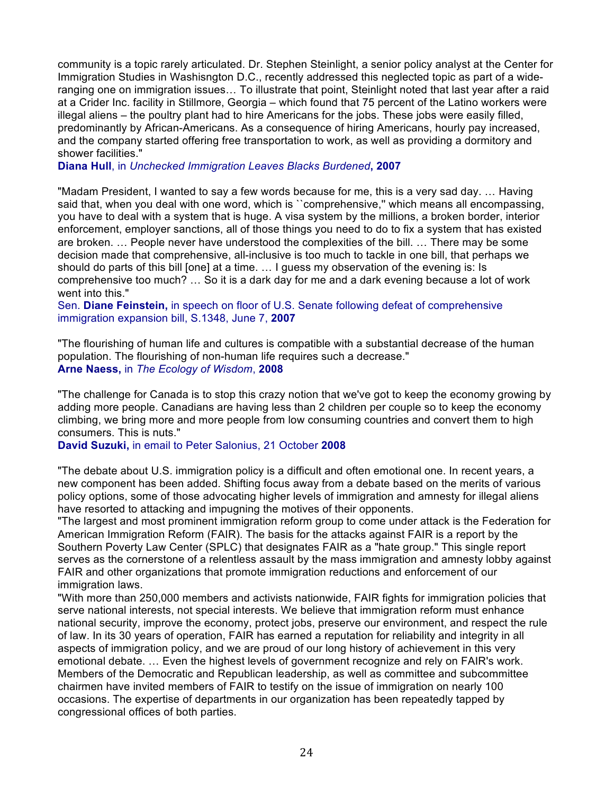community is a topic rarely articulated. Dr. Stephen Steinlight, a senior policy analyst at the Center for Immigration Studies in Washisngton D.C., recently addressed this neglected topic as part of a wideranging one on immigration issues… To illustrate that point, Steinlight noted that last year after a raid at a Crider Inc. facility in Stillmore, Georgia – which found that 75 percent of the Latino workers were illegal aliens – the poultry plant had to hire Americans for the jobs. These jobs were easily filled, predominantly by African-Americans. As a consequence of hiring Americans, hourly pay increased, and the company started offering free transportation to work, as well as providing a dormitory and shower facilities."

**Diana Hull**, in *Unchecked Immigration Leaves Blacks Burdened***, 2007**

"Madam President, I wanted to say a few words because for me, this is a very sad day. … Having said that, when you deal with one word, which is ``comprehensive,'' which means all encompassing, you have to deal with a system that is huge. A visa system by the millions, a broken border, interior enforcement, employer sanctions, all of those things you need to do to fix a system that has existed are broken. … People never have understood the complexities of the bill. … There may be some decision made that comprehensive, all-inclusive is too much to tackle in one bill, that perhaps we should do parts of this bill [one] at a time. … I guess my observation of the evening is: Is comprehensive too much? … So it is a dark day for me and a dark evening because a lot of work went into this."

Sen. **Diane Feinstein,** in speech on floor of U.S. Senate following defeat of comprehensive immigration expansion bill, S.1348, June 7, **2007**

"The flourishing of human life and cultures is compatible with a substantial decrease of the human population. The flourishing of non-human life requires such a decrease." **Arne Naess,** in *The Ecology of Wisdom*, **2008**

"The challenge for Canada is to stop this crazy notion that we've got to keep the economy growing by adding more people. Canadians are having less than 2 children per couple so to keep the economy climbing, we bring more and more people from low consuming countries and convert them to high consumers. This is nuts."

**David Suzuki,** in email to Peter Salonius, 21 October **2008**

"The debate about U.S. immigration policy is a difficult and often emotional one. In recent years, a new component has been added. Shifting focus away from a debate based on the merits of various policy options, some of those advocating higher levels of immigration and amnesty for illegal aliens have resorted to attacking and impugning the motives of their opponents.

"The largest and most prominent immigration reform group to come under attack is the Federation for American Immigration Reform (FAIR). The basis for the attacks against FAIR is a report by the Southern Poverty Law Center (SPLC) that designates FAIR as a "hate group." This single report serves as the cornerstone of a relentless assault by the mass immigration and amnesty lobby against FAIR and other organizations that promote immigration reductions and enforcement of our immigration laws.

"With more than 250,000 members and activists nationwide, FAIR fights for immigration policies that serve national interests, not special interests. We believe that immigration reform must enhance national security, improve the economy, protect jobs, preserve our environment, and respect the rule of law. In its 30 years of operation, FAIR has earned a reputation for reliability and integrity in all aspects of immigration policy, and we are proud of our long history of achievement in this very emotional debate. … Even the highest levels of government recognize and rely on FAIR's work. Members of the Democratic and Republican leadership, as well as committee and subcommittee chairmen have invited members of FAIR to testify on the issue of immigration on nearly 100 occasions. The expertise of departments in our organization has been repeatedly tapped by congressional offices of both parties.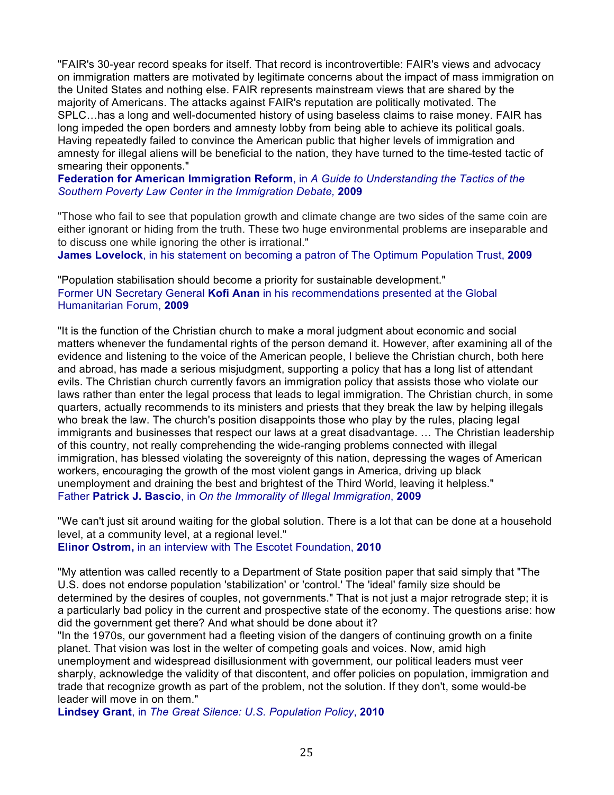"FAIR's 30-year record speaks for itself. That record is incontrovertible: FAIR's views and advocacy on immigration matters are motivated by legitimate concerns about the impact of mass immigration on the United States and nothing else. FAIR represents mainstream views that are shared by the majority of Americans. The attacks against FAIR's reputation are politically motivated. The SPLC…has a long and well-documented history of using baseless claims to raise money. FAIR has long impeded the open borders and amnesty lobby from being able to achieve its political goals. Having repeatedly failed to convince the American public that higher levels of immigration and amnesty for illegal aliens will be beneficial to the nation, they have turned to the time-tested tactic of smearing their opponents."

#### **Federation for American Immigration Reform**, in *A Guide to Understanding the Tactics of the Southern Poverty Law Center in the Immigration Debate,* **2009**

"Those who fail to see that population growth and climate change are two sides of the same coin are either ignorant or hiding from the truth. These two huge environmental problems are inseparable and to discuss one while ignoring the other is irrational."

**James Lovelock**, in his statement on becoming a patron of The Optimum Population Trust, **2009**

"Population stabilisation should become a priority for sustainable development." Former UN Secretary General **Kofi Anan** in his recommendations presented at the Global Humanitarian Forum, **2009**

"It is the function of the Christian church to make a moral judgment about economic and social matters whenever the fundamental rights of the person demand it. However, after examining all of the evidence and listening to the voice of the American people, I believe the Christian church, both here and abroad, has made a serious misjudgment, supporting a policy that has a long list of attendant evils. The Christian church currently favors an immigration policy that assists those who violate our laws rather than enter the legal process that leads to legal immigration. The Christian church, in some quarters, actually recommends to its ministers and priests that they break the law by helping illegals who break the law. The church's position disappoints those who play by the rules, placing legal immigrants and businesses that respect our laws at a great disadvantage. … The Christian leadership of this country, not really comprehending the wide-ranging problems connected with illegal immigration, has blessed violating the sovereignty of this nation, depressing the wages of American workers, encouraging the growth of the most violent gangs in America, driving up black unemployment and draining the best and brightest of the Third World, leaving it helpless." Father **Patrick J. Bascio**, in *On the Immorality of Illegal Immigration*, **2009**

"We can't just sit around waiting for the global solution. There is a lot that can be done at a household level, at a community level, at a regional level." **Elinor Ostrom,** in an interview with The Escotet Foundation, **2010**

"My attention was called recently to a Department of State position paper that said simply that "The U.S. does not endorse population 'stabilization' or 'control.' The 'ideal' family size should be determined by the desires of couples, not governments." That is not just a major retrograde step; it is a particularly bad policy in the current and prospective state of the economy. The questions arise: how did the government get there? And what should be done about it?

"In the 1970s, our government had a fleeting vision of the dangers of continuing growth on a finite planet. That vision was lost in the welter of competing goals and voices. Now, amid high unemployment and widespread disillusionment with government, our political leaders must veer sharply, acknowledge the validity of that discontent, and offer policies on population, immigration and trade that recognize growth as part of the problem, not the solution. If they don't, some would-be leader will move in on them."

**Lindsey Grant**, in *The Great Silence: U.S. Population Policy*, **2010**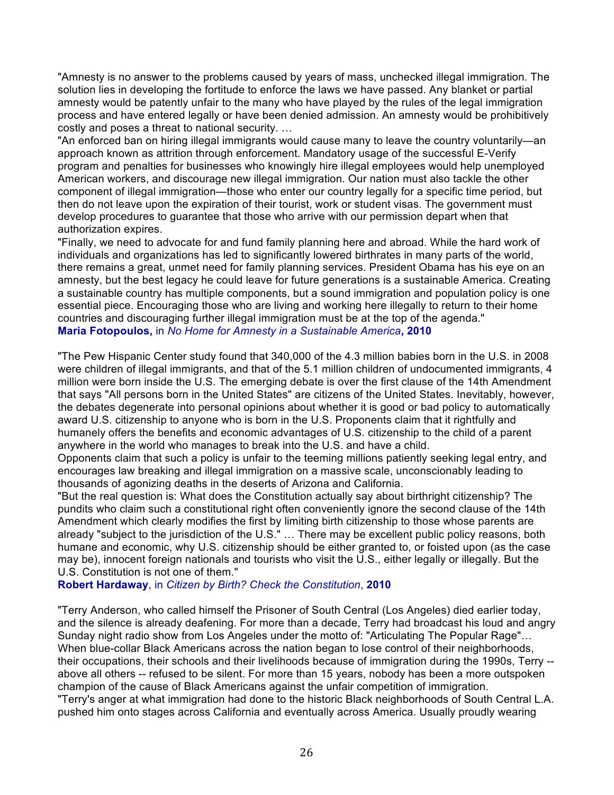"Amnesty is no answer to the problems caused by years of mass, unchecked illegal immigration. The solution lies in developing the fortitude to enforce the laws we have passed. Any blanket or partial amnesty would be patently unfair to the many who have played by the rules of the legal immigration process and have entered legally or have been denied admission. An amnesty would be prohibitively costly and poses a threat to national security. …

"An enforced ban on hiring illegal immigrants would cause many to leave the country voluntarily—an approach known as attrition through enforcement. Mandatory usage of the successful E-Verify program and penalties for businesses who knowingly hire illegal employees would help unemployed American workers, and discourage new illegal immigration. Our nation must also tackle the other component of illegal immigration—those who enter our country legally for a specific time period, but then do not leave upon the expiration of their tourist, work or student visas. The government must develop procedures to guarantee that those who arrive with our permission depart when that authorization expires.

"Finally, we need to advocate for and fund family planning here and abroad. While the hard work of individuals and organizations has led to significantly lowered birthrates in many parts of the world, there remains a great, unmet need for family planning services. President Obama has his eye on an amnesty, but the best legacy he could leave for future generations is a sustainable America. Creating a sustainable country has multiple components, but a sound immigration and population policy is one essential piece. Encouraging those who are living and working here illegally to return to their home countries and discouraging further illegal immigration must be at the top of the agenda." **Maria Fotopoulos,** in *No Home for Amnesty in a Sustainable America***, 2010**

"The Pew Hispanic Center study found that 340,000 of the 4.3 million babies born in the U.S. in 2008 were children of illegal immigrants, and that of the 5.1 million children of undocumented immigrants, 4 million were born inside the U.S. The emerging debate is over the first clause of the 14th Amendment that says "All persons born in the United States" are citizens of the United States. Inevitably, however, the debates degenerate into personal opinions about whether it is good or bad policy to automatically award U.S. citizenship to anyone who is born in the U.S. Proponents claim that it rightfully and humanely offers the benefits and economic advantages of U.S. citizenship to the child of a parent anywhere in the world who manages to break into the U.S. and have a child.

Opponents claim that such a policy is unfair to the teeming millions patiently seeking legal entry, and encourages law breaking and illegal immigration on a massive scale, unconscionably leading to thousands of agonizing deaths in the deserts of Arizona and California.

"But the real question is: What does the Constitution actually say about birthright citizenship? The pundits who claim such a constitutional right often conveniently ignore the second clause of the 14th Amendment which clearly modifies the first by limiting birth citizenship to those whose parents are already "subject to the jurisdiction of the U.S." … There may be excellent public policy reasons, both humane and economic, why U.S. citizenship should be either granted to, or foisted upon (as the case may be), innocent foreign nationals and tourists who visit the U.S., either legally or illegally. But the U.S. Constitution is not one of them."

**Robert Hardaway**, in *Citizen by Birth? Check the Constitution*, **2010**

"Terry Anderson, who called himself the Prisoner of South Central (Los Angeles) died earlier today, and the silence is already deafening. For more than a decade, Terry had broadcast his loud and angry Sunday night radio show from Los Angeles under the motto of: "Articulating The Popular Rage"… When blue-collar Black Americans across the nation began to lose control of their neighborhoods, their occupations, their schools and their livelihoods because of immigration during the 1990s, Terry - above all others -- refused to be silent. For more than 15 years, nobody has been a more outspoken champion of the cause of Black Americans against the unfair competition of immigration.

"Terry's anger at what immigration had done to the historic Black neighborhoods of South Central L.A. pushed him onto stages across California and eventually across America. Usually proudly wearing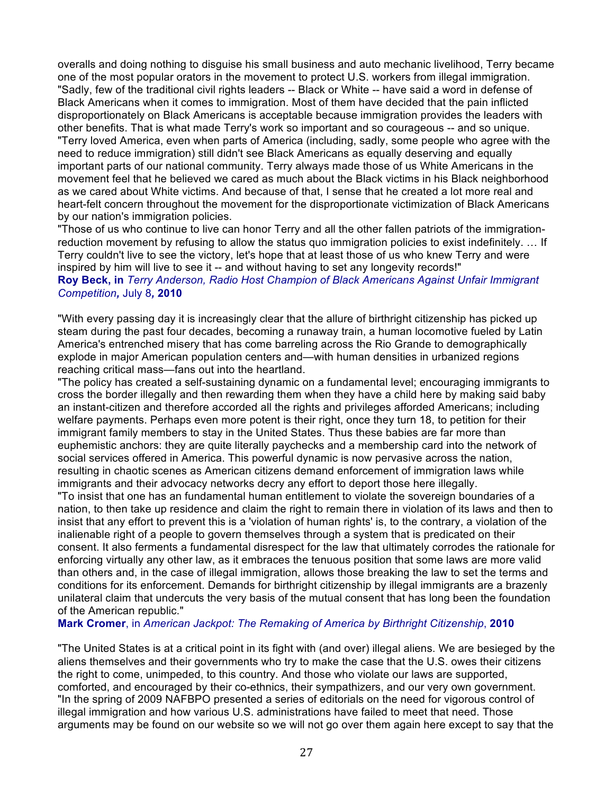overalls and doing nothing to disguise his small business and auto mechanic livelihood, Terry became one of the most popular orators in the movement to protect U.S. workers from illegal immigration. "Sadly, few of the traditional civil rights leaders -- Black or White -- have said a word in defense of Black Americans when it comes to immigration. Most of them have decided that the pain inflicted disproportionately on Black Americans is acceptable because immigration provides the leaders with other benefits. That is what made Terry's work so important and so courageous -- and so unique. "Terry loved America, even when parts of America (including, sadly, some people who agree with the need to reduce immigration) still didn't see Black Americans as equally deserving and equally important parts of our national community. Terry always made those of us White Americans in the movement feel that he believed we cared as much about the Black victims in his Black neighborhood as we cared about White victims. And because of that, I sense that he created a lot more real and heart-felt concern throughout the movement for the disproportionate victimization of Black Americans by our nation's immigration policies.

"Those of us who continue to live can honor Terry and all the other fallen patriots of the immigrationreduction movement by refusing to allow the status quo immigration policies to exist indefinitely. … If Terry couldn't live to see the victory, let's hope that at least those of us who knew Terry and were inspired by him will live to see it -- and without having to set any longevity records!"

# **Roy Beck, in** *Terry Anderson, Radio Host Champion of Black Americans Against Unfair Immigrant Competition,* July 8*,* **2010**

"With every passing day it is increasingly clear that the allure of birthright citizenship has picked up steam during the past four decades, becoming a runaway train, a human locomotive fueled by Latin America's entrenched misery that has come barreling across the Rio Grande to demographically explode in major American population centers and—with human densities in urbanized regions reaching critical mass—fans out into the heartland.

"The policy has created a self-sustaining dynamic on a fundamental level; encouraging immigrants to cross the border illegally and then rewarding them when they have a child here by making said baby an instant-citizen and therefore accorded all the rights and privileges afforded Americans; including welfare payments. Perhaps even more potent is their right, once they turn 18, to petition for their immigrant family members to stay in the United States. Thus these babies are far more than euphemistic anchors: they are quite literally paychecks and a membership card into the network of social services offered in America. This powerful dynamic is now pervasive across the nation, resulting in chaotic scenes as American citizens demand enforcement of immigration laws while immigrants and their advocacy networks decry any effort to deport those here illegally.

"To insist that one has an fundamental human entitlement to violate the sovereign boundaries of a nation, to then take up residence and claim the right to remain there in violation of its laws and then to insist that any effort to prevent this is a 'violation of human rights' is, to the contrary, a violation of the inalienable right of a people to govern themselves through a system that is predicated on their consent. It also ferments a fundamental disrespect for the law that ultimately corrodes the rationale for enforcing virtually any other law, as it embraces the tenuous position that some laws are more valid than others and, in the case of illegal immigration, allows those breaking the law to set the terms and conditions for its enforcement. Demands for birthright citizenship by illegal immigrants are a brazenly unilateral claim that undercuts the very basis of the mutual consent that has long been the foundation of the American republic."

**Mark Cromer**, in *American Jackpot: The Remaking of America by Birthright Citizenship*, **2010**

"The United States is at a critical point in its fight with (and over) illegal aliens. We are besieged by the aliens themselves and their governments who try to make the case that the U.S. owes their citizens the right to come, unimpeded, to this country. And those who violate our laws are supported, comforted, and encouraged by their co-ethnics, their sympathizers, and our very own government. "In the spring of 2009 NAFBPO presented a series of editorials on the need for vigorous control of illegal immigration and how various U.S. administrations have failed to meet that need. Those arguments may be found on our website so we will not go over them again here except to say that the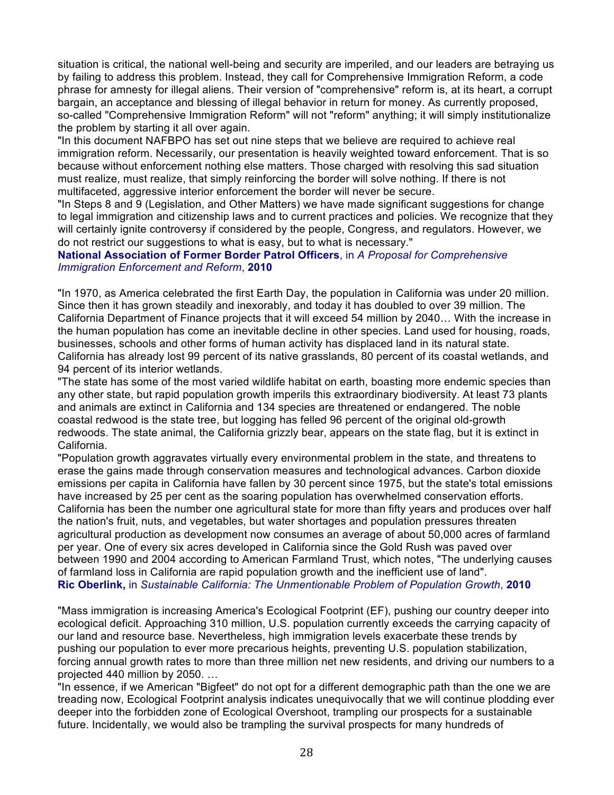situation is critical, the national well-being and security are imperiled, and our leaders are betraying us by failing to address this problem. Instead, they call for Comprehensive Immigration Reform, a code phrase for amnesty for illegal aliens. Their version of "comprehensive" reform is, at its heart, a corrupt bargain, an acceptance and blessing of illegal behavior in return for money. As currently proposed, so-called "Comprehensive Immigration Reform" will not "reform" anything; it will simply institutionalize the problem by starting it all over again.

"In this document NAFBPO has set out nine steps that we believe are required to achieve real immigration reform. Necessarily, our presentation is heavily weighted toward enforcement. That is so because without enforcement nothing else matters. Those charged with resolving this sad situation must realize, must realize, that simply reinforcing the border will solve nothing. If there is not multifaceted, aggressive interior enforcement the border will never be secure.

"In Steps 8 and 9 (Legislation, and Other Matters) we have made significant suggestions for change to legal immigration and citizenship laws and to current practices and policies. We recognize that they will certainly ignite controversy if considered by the people, Congress, and regulators. However, we do not restrict our suggestions to what is easy, but to what is necessary."

# **National Association of Former Border Patrol Officers**, in *A Proposal for Comprehensive Immigration Enforcement and Reform*, **2010**

"In 1970, as America celebrated the first Earth Day, the population in California was under 20 million. Since then it has grown steadily and inexorably, and today it has doubled to over 39 million. The California Department of Finance projects that it will exceed 54 million by 2040… With the increase in the human population has come an inevitable decline in other species. Land used for housing, roads, businesses, schools and other forms of human activity has displaced land in its natural state. California has already lost 99 percent of its native grasslands, 80 percent of its coastal wetlands, and 94 percent of its interior wetlands.

"The state has some of the most varied wildlife habitat on earth, boasting more endemic species than any other state, but rapid population growth imperils this extraordinary biodiversity. At least 73 plants and animals are extinct in California and 134 species are threatened or endangered. The noble coastal redwood is the state tree, but logging has felled 96 percent of the original old-growth redwoods. The state animal, the California grizzly bear, appears on the state flag, but it is extinct in California.

"Population growth aggravates virtually every environmental problem in the state, and threatens to erase the gains made through conservation measures and technological advances. Carbon dioxide emissions per capita in California have fallen by 30 percent since 1975, but the state's total emissions have increased by 25 per cent as the soaring population has overwhelmed conservation efforts. California has been the number one agricultural state for more than fifty years and produces over half the nation's fruit, nuts, and vegetables, but water shortages and population pressures threaten agricultural production as development now consumes an average of about 50,000 acres of farmland per year. One of every six acres developed in California since the Gold Rush was paved over between 1990 and 2004 according to American Farmland Trust, which notes, "The underlying causes of farmland loss in California are rapid population growth and the inefficient use of land". **Ric Oberlink,** in *Sustainable California: The Unmentionable Problem of Population Growth*, **2010**

"Mass immigration is increasing America's Ecological Footprint (EF), pushing our country deeper into ecological deficit. Approaching 310 million, U.S. population currently exceeds the carrying capacity of our land and resource base. Nevertheless, high immigration levels exacerbate these trends by pushing our population to ever more precarious heights, preventing U.S. population stabilization, forcing annual growth rates to more than three million net new residents, and driving our numbers to a projected 440 million by 2050. …

"In essence, if we American "Bigfeet" do not opt for a different demographic path than the one we are treading now, Ecological Footprint analysis indicates unequivocally that we will continue plodding ever deeper into the forbidden zone of Ecological Overshoot, trampling our prospects for a sustainable future. Incidentally, we would also be trampling the survival prospects for many hundreds of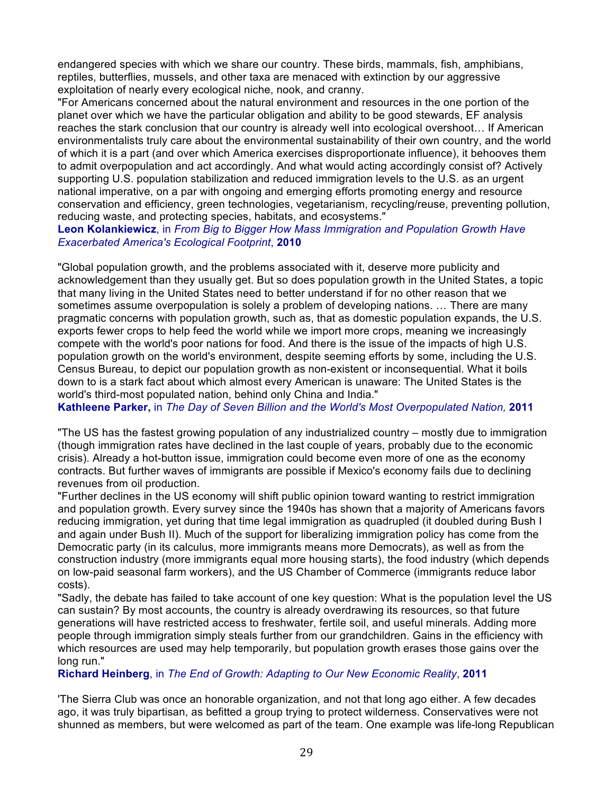endangered species with which we share our country. These birds, mammals, fish, amphibians, reptiles, butterflies, mussels, and other taxa are menaced with extinction by our aggressive exploitation of nearly every ecological niche, nook, and cranny.

"For Americans concerned about the natural environment and resources in the one portion of the planet over which we have the particular obligation and ability to be good stewards, EF analysis reaches the stark conclusion that our country is already well into ecological overshoot… If American environmentalists truly care about the environmental sustainability of their own country, and the world of which it is a part (and over which America exercises disproportionate influence), it behooves them to admit overpopulation and act accordingly. And what would acting accordingly consist of? Actively supporting U.S. population stabilization and reduced immigration levels to the U.S. as an urgent national imperative, on a par with ongoing and emerging efforts promoting energy and resource conservation and efficiency, green technologies, vegetarianism, recycling/reuse, preventing pollution, reducing waste, and protecting species, habitats, and ecosystems."

**Leon Kolankiewicz**, in *From Big to Bigger How Mass Immigration and Population Growth Have Exacerbated America's Ecological Footprint*, **2010**

"Global population growth, and the problems associated with it, deserve more publicity and acknowledgement than they usually get. But so does population growth in the United States, a topic that many living in the United States need to better understand if for no other reason that we sometimes assume overpopulation is solely a problem of developing nations. … There are many pragmatic concerns with population growth, such as, that as domestic population expands, the U.S. exports fewer crops to help feed the world while we import more crops, meaning we increasingly compete with the world's poor nations for food. And there is the issue of the impacts of high U.S. population growth on the world's environment, despite seeming efforts by some, including the U.S. Census Bureau, to depict our population growth as non-existent or inconsequential. What it boils down to is a stark fact about which almost every American is unaware: The United States is the world's third-most populated nation, behind only China and India."

**Kathleene Parker,** in *The Day of Seven Billion and the World's Most Overpopulated Nation,* **2011**

"The US has the fastest growing population of any industrialized country – mostly due to immigration (though immigration rates have declined in the last couple of years, probably due to the economic crisis). Already a hot-button issue, immigration could become even more of one as the economy contracts. But further waves of immigrants are possible if Mexico's economy fails due to declining revenues from oil production.

"Further declines in the US economy will shift public opinion toward wanting to restrict immigration and population growth. Every survey since the 1940s has shown that a majority of Americans favors reducing immigration, yet during that time legal immigration as quadrupled (it doubled during Bush I and again under Bush II). Much of the support for liberalizing immigration policy has come from the Democratic party (in its calculus, more immigrants means more Democrats), as well as from the construction industry (more immigrants equal more housing starts), the food industry (which depends on low-paid seasonal farm workers), and the US Chamber of Commerce (immigrants reduce labor costs).

"Sadly, the debate has failed to take account of one key question: What is the population level the US can sustain? By most accounts, the country is already overdrawing its resources, so that future generations will have restricted access to freshwater, fertile soil, and useful minerals. Adding more people through immigration simply steals further from our grandchildren. Gains in the efficiency with which resources are used may help temporarily, but population growth erases those gains over the long run."

**Richard Heinberg**, in *The End of Growth: Adapting to Our New Economic Reality*, **2011**

'The Sierra Club was once an honorable organization, and not that long ago either. A few decades ago, it was truly bipartisan, as befitted a group trying to protect wilderness. Conservatives were not shunned as members, but were welcomed as part of the team. One example was life-long Republican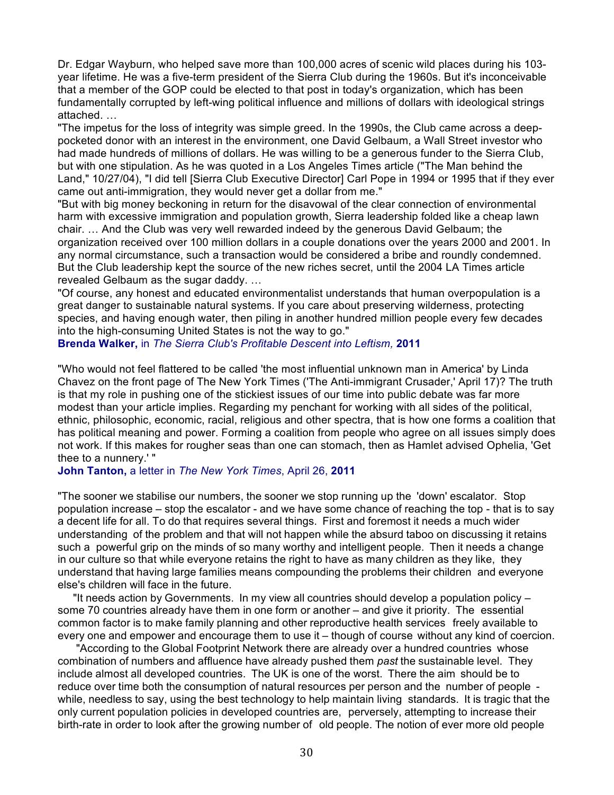Dr. Edgar Wayburn, who helped save more than 100,000 acres of scenic wild places during his 103 year lifetime. He was a five-term president of the Sierra Club during the 1960s. But it's inconceivable that a member of the GOP could be elected to that post in today's organization, which has been fundamentally corrupted by left-wing political influence and millions of dollars with ideological strings attached. …

"The impetus for the loss of integrity was simple greed. In the 1990s, the Club came across a deeppocketed donor with an interest in the environment, one David Gelbaum, a Wall Street investor who had made hundreds of millions of dollars. He was willing to be a generous funder to the Sierra Club, but with one stipulation. As he was quoted in a Los Angeles Times article ("The Man behind the Land," 10/27/04), "I did tell [Sierra Club Executive Director] Carl Pope in 1994 or 1995 that if they ever came out anti-immigration, they would never get a dollar from me."

"But with big money beckoning in return for the disavowal of the clear connection of environmental harm with excessive immigration and population growth, Sierra leadership folded like a cheap lawn chair. … And the Club was very well rewarded indeed by the generous David Gelbaum; the organization received over 100 million dollars in a couple donations over the years 2000 and 2001. In any normal circumstance, such a transaction would be considered a bribe and roundly condemned. But the Club leadership kept the source of the new riches secret, until the 2004 LA Times article revealed Gelbaum as the sugar daddy. …

"Of course, any honest and educated environmentalist understands that human overpopulation is a great danger to sustainable natural systems. If you care about preserving wilderness, protecting species, and having enough water, then piling in another hundred million people every few decades into the high-consuming United States is not the way to go."

**Brenda Walker,** in *The Sierra Club's Profitable Descent into Leftism,* **2011**

"Who would not feel flattered to be called 'the most influential unknown man in America' by Linda Chavez on the front page of The New York Times ('The Anti-immigrant Crusader,' April 17)? The truth is that my role in pushing one of the stickiest issues of our time into public debate was far more modest than your article implies. Regarding my penchant for working with all sides of the political, ethnic, philosophic, economic, racial, religious and other spectra, that is how one forms a coalition that has political meaning and power. Forming a coalition from people who agree on all issues simply does not work. If this makes for rougher seas than one can stomach, then as Hamlet advised Ophelia, 'Get thee to a nunnery.' "

**John Tanton,** a letter in *The New York Times*, April 26, **2011**

"The sooner we stabilise our numbers, the sooner we stop running up the 'down' escalator. Stop population increase – stop the escalator - and we have some chance of reaching the top - that is to say a decent life for all. To do that requires several things. First and foremost it needs a much wider understanding of the problem and that will not happen while the absurd taboo on discussing it retains such a powerful grip on the minds of so many worthy and intelligent people. Then it needs a change in our culture so that while everyone retains the right to have as many children as they like, they understand that having large families means compounding the problems their children and everyone else's children will face in the future.

 "It needs action by Governments. In my view all countries should develop a population policy – some 70 countries already have them in one form or another – and give it priority. The essential common factor is to make family planning and other reproductive health services freely available to every one and empower and encourage them to use it – though of course without any kind of coercion.

 "According to the Global Footprint Network there are already over a hundred countries whose combination of numbers and affluence have already pushed them *past* the sustainable level. They include almost all developed countries. The UK is one of the worst. There the aim should be to reduce over time both the consumption of natural resources per person and the number of people while, needless to say, using the best technology to help maintain living standards. It is tragic that the only current population policies in developed countries are, perversely, attempting to increase their birth-rate in order to look after the growing number of old people. The notion of ever more old people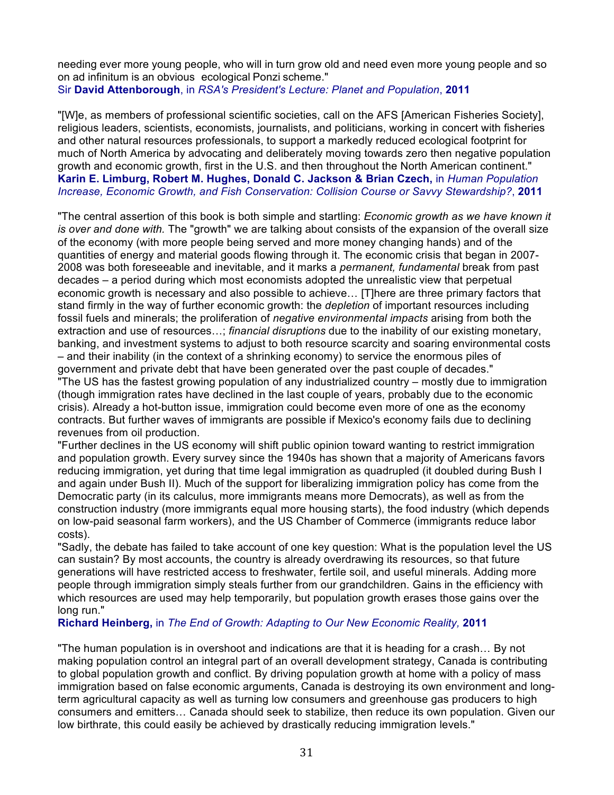needing ever more young people, who will in turn grow old and need even more young people and so on ad infinitum is an obvious ecological Ponzi scheme." Sir **David Attenborough**, in *RSA's President's Lecture: Planet and Population*, **2011**

"[W]e, as members of professional scientific societies, call on the AFS [American Fisheries Society], religious leaders, scientists, economists, journalists, and politicians, working in concert with fisheries and other natural resources professionals, to support a markedly reduced ecological footprint for much of North America by advocating and deliberately moving towards zero then negative population growth and economic growth, first in the U.S. and then throughout the North American continent." **Karin E. Limburg, Robert M. Hughes, Donald C. Jackson & Brian Czech,** in *Human Population Increase, Economic Growth, and Fish Conservation: Collision Course or Savvy Stewardship?*, **2011**

"The central assertion of this book is both simple and startling: *Economic growth as we have known it is over and done with.* The "growth" we are talking about consists of the expansion of the overall size of the economy (with more people being served and more money changing hands) and of the quantities of energy and material goods flowing through it. The economic crisis that began in 2007- 2008 was both foreseeable and inevitable, and it marks a *permanent, fundamental* break from past decades – a period during which most economists adopted the unrealistic view that perpetual economic growth is necessary and also possible to achieve… [T]here are three primary factors that stand firmly in the way of further economic growth: the *depletion* of important resources including fossil fuels and minerals; the proliferation of *negative environmental impacts* arising from both the extraction and use of resources…; *financial disruptions* due to the inability of our existing monetary, banking, and investment systems to adjust to both resource scarcity and soaring environmental costs – and their inability (in the context of a shrinking economy) to service the enormous piles of government and private debt that have been generated over the past couple of decades."

"The US has the fastest growing population of any industrialized country – mostly due to immigration (though immigration rates have declined in the last couple of years, probably due to the economic crisis). Already a hot-button issue, immigration could become even more of one as the economy contracts. But further waves of immigrants are possible if Mexico's economy fails due to declining revenues from oil production.

"Further declines in the US economy will shift public opinion toward wanting to restrict immigration and population growth. Every survey since the 1940s has shown that a majority of Americans favors reducing immigration, yet during that time legal immigration as quadrupled (it doubled during Bush I and again under Bush II). Much of the support for liberalizing immigration policy has come from the Democratic party (in its calculus, more immigrants means more Democrats), as well as from the construction industry (more immigrants equal more housing starts), the food industry (which depends on low-paid seasonal farm workers), and the US Chamber of Commerce (immigrants reduce labor costs).

"Sadly, the debate has failed to take account of one key question: What is the population level the US can sustain? By most accounts, the country is already overdrawing its resources, so that future generations will have restricted access to freshwater, fertile soil, and useful minerals. Adding more people through immigration simply steals further from our grandchildren. Gains in the efficiency with which resources are used may help temporarily, but population growth erases those gains over the long run."

# **Richard Heinberg,** in *The End of Growth: Adapting to Our New Economic Reality,* **2011**

"The human population is in overshoot and indications are that it is heading for a crash… By not making population control an integral part of an overall development strategy, Canada is contributing to global population growth and conflict. By driving population growth at home with a policy of mass immigration based on false economic arguments, Canada is destroying its own environment and longterm agricultural capacity as well as turning low consumers and greenhouse gas producers to high consumers and emitters… Canada should seek to stabilize, then reduce its own population. Given our low birthrate, this could easily be achieved by drastically reducing immigration levels."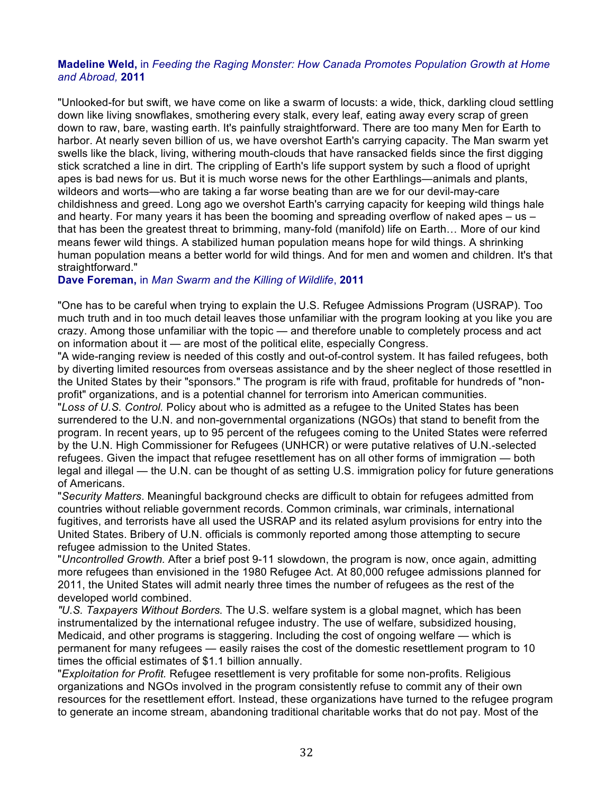# **Madeline Weld,** in *Feeding the Raging Monster: How Canada Promotes Population Growth at Home and Abroad,* **2011**

"Unlooked-for but swift, we have come on like a swarm of locusts: a wide, thick, darkling cloud settling down like living snowflakes, smothering every stalk, every leaf, eating away every scrap of green down to raw, bare, wasting earth. It's painfully straightforward. There are too many Men for Earth to harbor. At nearly seven billion of us, we have overshot Earth's carrying capacity. The Man swarm yet swells like the black, living, withering mouth-clouds that have ransacked fields since the first digging stick scratched a line in dirt. The crippling of Earth's life support system by such a flood of upright apes is bad news for us. But it is much worse news for the other Earthlings—animals and plants, wildeors and worts—who are taking a far worse beating than are we for our devil-may-care childishness and greed. Long ago we overshot Earth's carrying capacity for keeping wild things hale and hearty. For many years it has been the booming and spreading overflow of naked apes  $-$  us  $$ that has been the greatest threat to brimming, many-fold (manifold) life on Earth… More of our kind means fewer wild things. A stabilized human population means hope for wild things. A shrinking human population means a better world for wild things. And for men and women and children. It's that straightforward."

**Dave Foreman,** in *Man Swarm and the Killing of Wildlife*, **2011**

"One has to be careful when trying to explain the U.S. Refugee Admissions Program (USRAP). Too much truth and in too much detail leaves those unfamiliar with the program looking at you like you are crazy. Among those unfamiliar with the topic — and therefore unable to completely process and act on information about it — are most of the political elite, especially Congress.

"A wide-ranging review is needed of this costly and out-of-control system. It has failed refugees, both by diverting limited resources from overseas assistance and by the sheer neglect of those resettled in the United States by their "sponsors." The program is rife with fraud, profitable for hundreds of "nonprofit" organizations, and is a potential channel for terrorism into American communities.

"*Loss of U.S. Control.* Policy about who is admitted as a refugee to the United States has been surrendered to the U.N. and non-governmental organizations (NGOs) that stand to benefit from the program. In recent years, up to 95 percent of the refugees coming to the United States were referred by the U.N. High Commissioner for Refugees (UNHCR) or were putative relatives of U.N.-selected refugees. Given the impact that refugee resettlement has on all other forms of immigration — both legal and illegal — the U.N. can be thought of as setting U.S. immigration policy for future generations of Americans.

"*Security Matters*. Meaningful background checks are difficult to obtain for refugees admitted from countries without reliable government records. Common criminals, war criminals, international fugitives, and terrorists have all used the USRAP and its related asylum provisions for entry into the United States. Bribery of U.N. officials is commonly reported among those attempting to secure refugee admission to the United States.

"*Uncontrolled Growth.* After a brief post 9-11 slowdown, the program is now, once again, admitting more refugees than envisioned in the 1980 Refugee Act. At 80,000 refugee admissions planned for 2011, the United States will admit nearly three times the number of refugees as the rest of the developed world combined.

*"U.S. Taxpayers Without Borders.* The U.S. welfare system is a global magnet, which has been instrumentalized by the international refugee industry. The use of welfare, subsidized housing, Medicaid, and other programs is staggering. Including the cost of ongoing welfare — which is permanent for many refugees — easily raises the cost of the domestic resettlement program to 10 times the official estimates of \$1.1 billion annually.

"*Exploitation for Profit.* Refugee resettlement is very profitable for some non-profits. Religious organizations and NGOs involved in the program consistently refuse to commit any of their own resources for the resettlement effort. Instead, these organizations have turned to the refugee program to generate an income stream, abandoning traditional charitable works that do not pay. Most of the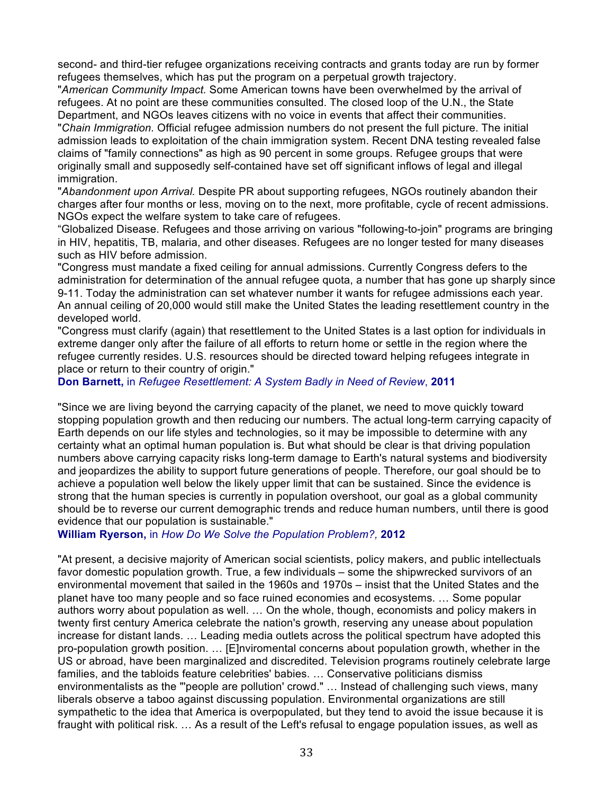second- and third-tier refugee organizations receiving contracts and grants today are run by former refugees themselves, which has put the program on a perpetual growth trajectory.

"*American Community Impact.* Some American towns have been overwhelmed by the arrival of refugees. At no point are these communities consulted. The closed loop of the U.N., the State Department, and NGOs leaves citizens with no voice in events that affect their communities.

"*Chain Immigration.* Official refugee admission numbers do not present the full picture. The initial admission leads to exploitation of the chain immigration system. Recent DNA testing revealed false claims of "family connections" as high as 90 percent in some groups. Refugee groups that were originally small and supposedly self-contained have set off significant inflows of legal and illegal immigration.

"*Abandonment upon Arrival.* Despite PR about supporting refugees, NGOs routinely abandon their charges after four months or less, moving on to the next, more profitable, cycle of recent admissions. NGOs expect the welfare system to take care of refugees.

"Globalized Disease. Refugees and those arriving on various "following-to-join" programs are bringing in HIV, hepatitis, TB, malaria, and other diseases. Refugees are no longer tested for many diseases such as HIV before admission.

"Congress must mandate a fixed ceiling for annual admissions. Currently Congress defers to the administration for determination of the annual refugee quota, a number that has gone up sharply since 9-11. Today the administration can set whatever number it wants for refugee admissions each year. An annual ceiling of 20,000 would still make the United States the leading resettlement country in the developed world.

"Congress must clarify (again) that resettlement to the United States is a last option for individuals in extreme danger only after the failure of all efforts to return home or settle in the region where the refugee currently resides. U.S. resources should be directed toward helping refugees integrate in place or return to their country of origin."

**Don Barnett,** in *Refugee Resettlement: A System Badly in Need of Review*, **2011**

"Since we are living beyond the carrying capacity of the planet, we need to move quickly toward stopping population growth and then reducing our numbers. The actual long-term carrying capacity of Earth depends on our life styles and technologies, so it may be impossible to determine with any certainty what an optimal human population is. But what should be clear is that driving population numbers above carrying capacity risks long-term damage to Earth's natural systems and biodiversity and jeopardizes the ability to support future generations of people. Therefore, our goal should be to achieve a population well below the likely upper limit that can be sustained. Since the evidence is strong that the human species is currently in population overshoot, our goal as a global community should be to reverse our current demographic trends and reduce human numbers, until there is good evidence that our population is sustainable."

**William Ryerson,** in *How Do We Solve the Population Problem?,* **2012**

"At present, a decisive majority of American social scientists, policy makers, and public intellectuals favor domestic population growth. True, a few individuals – some the shipwrecked survivors of an environmental movement that sailed in the 1960s and 1970s – insist that the United States and the planet have too many people and so face ruined economies and ecosystems. … Some popular authors worry about population as well. … On the whole, though, economists and policy makers in twenty first century America celebrate the nation's growth, reserving any unease about population increase for distant lands. … Leading media outlets across the political spectrum have adopted this pro-population growth position. … [E]nviromental concerns about population growth, whether in the US or abroad, have been marginalized and discredited. Television programs routinely celebrate large families, and the tabloids feature celebrities' babies. … Conservative politicians dismiss environmentalists as the "'people are pollution' crowd." … Instead of challenging such views, many liberals observe a taboo against discussing population. Environmental organizations are still sympathetic to the idea that America is overpopulated, but they tend to avoid the issue because it is fraught with political risk. … As a result of the Left's refusal to engage population issues, as well as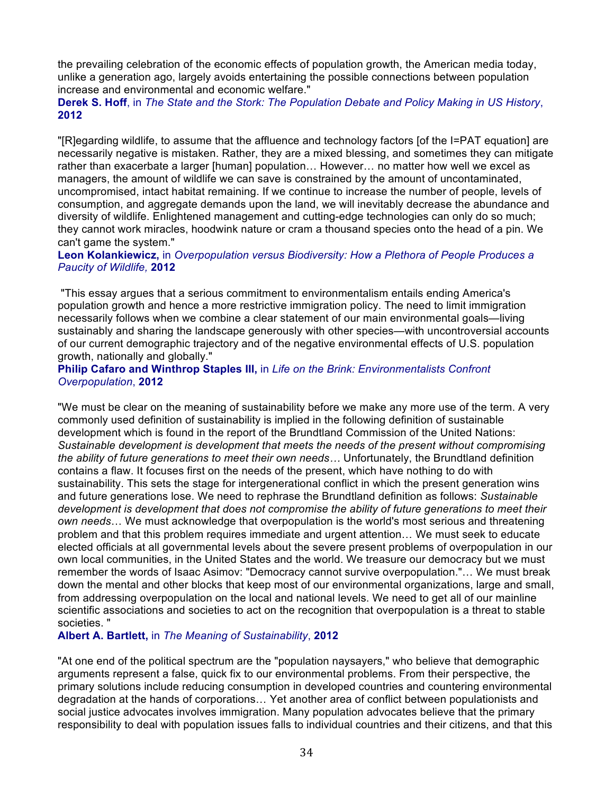the prevailing celebration of the economic effects of population growth, the American media today, unlike a generation ago, largely avoids entertaining the possible connections between population increase and environmental and economic welfare."

# **Derek S. Hoff**, in *The State and the Stork: The Population Debate and Policy Making in US History*, **2012**

"[R]egarding wildlife, to assume that the affluence and technology factors [of the I=PAT equation] are necessarily negative is mistaken. Rather, they are a mixed blessing, and sometimes they can mitigate rather than exacerbate a larger [human] population… However… no matter how well we excel as managers, the amount of wildlife we can save is constrained by the amount of uncontaminated, uncompromised, intact habitat remaining. If we continue to increase the number of people, levels of consumption, and aggregate demands upon the land, we will inevitably decrease the abundance and diversity of wildlife. Enlightened management and cutting-edge technologies can only do so much; they cannot work miracles, hoodwink nature or cram a thousand species onto the head of a pin. We can't game the system."

#### **Leon Kolankiewicz,** in *Overpopulation versus Biodiversity: How a Plethora of People Produces a Paucity of Wildlife,* **2012**

"This essay argues that a serious commitment to environmentalism entails ending America's population growth and hence a more restrictive immigration policy. The need to limit immigration necessarily follows when we combine a clear statement of our main environmental goals—living sustainably and sharing the landscape generously with other species—with uncontroversial accounts of our current demographic trajectory and of the negative environmental effects of U.S. population growth, nationally and globally."

# **Philip Cafaro and Winthrop Staples III,** in *Life on the Brink: Environmentalists Confront Overpopulation*, **2012**

"We must be clear on the meaning of sustainability before we make any more use of the term. A very commonly used definition of sustainability is implied in the following definition of sustainable development which is found in the report of the Brundtland Commission of the United Nations: *Sustainable development is development that meets the needs of the present without compromising the ability of future generations to meet their own needs…* Unfortunately, the Brundtland definition contains a flaw. It focuses first on the needs of the present, which have nothing to do with sustainability. This sets the stage for intergenerational conflict in which the present generation wins and future generations lose. We need to rephrase the Brundtland definition as follows: *Sustainable development is development that does not compromise the ability of future generations to meet their own needs*… We must acknowledge that overpopulation is the world's most serious and threatening problem and that this problem requires immediate and urgent attention… We must seek to educate elected officials at all governmental levels about the severe present problems of overpopulation in our own local communities, in the United States and the world. We treasure our democracy but we must remember the words of Isaac Asimov: "Democracy cannot survive overpopulation."… We must break down the mental and other blocks that keep most of our environmental organizations, large and small, from addressing overpopulation on the local and national levels. We need to get all of our mainline scientific associations and societies to act on the recognition that overpopulation is a threat to stable societies. "

# **Albert A. Bartlett,** in *The Meaning of Sustainability*, **2012**

"At one end of the political spectrum are the "population naysayers," who believe that demographic arguments represent a false, quick fix to our environmental problems. From their perspective, the primary solutions include reducing consumption in developed countries and countering environmental degradation at the hands of corporations… Yet another area of conflict between populationists and social justice advocates involves immigration. Many population advocates believe that the primary responsibility to deal with population issues falls to individual countries and their citizens, and that this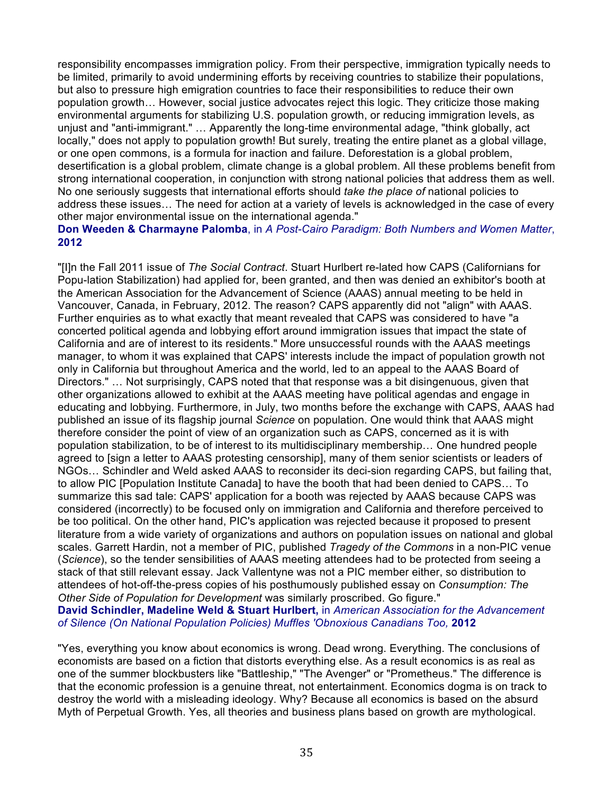responsibility encompasses immigration policy. From their perspective, immigration typically needs to be limited, primarily to avoid undermining efforts by receiving countries to stabilize their populations, but also to pressure high emigration countries to face their responsibilities to reduce their own population growth… However, social justice advocates reject this logic. They criticize those making environmental arguments for stabilizing U.S. population growth, or reducing immigration levels, as unjust and "anti-immigrant." … Apparently the long-time environmental adage, "think globally, act locally," does not apply to population growth! But surely, treating the entire planet as a global village, or one open commons, is a formula for inaction and failure. Deforestation is a global problem, desertification is a global problem, climate change is a global problem. All these problems benefit from strong international cooperation, in conjunction with strong national policies that address them as well. No one seriously suggests that international efforts should *take the place of* national policies to address these issues… The need for action at a variety of levels is acknowledged in the case of every other major environmental issue on the international agenda."

# **Don Weeden & Charmayne Palomba**, in *A Post-Cairo Paradigm: Both Numbers and Women Matter*, **2012**

"[I]n the Fall 2011 issue of *The Social Contract*. Stuart Hurlbert re-lated how CAPS (Californians for Popu-lation Stabilization) had applied for, been granted, and then was denied an exhibitor's booth at the American Association for the Advancement of Science (AAAS) annual meeting to be held in Vancouver, Canada, in February, 2012. The reason? CAPS apparently did not "align" with AAAS. Further enquiries as to what exactly that meant revealed that CAPS was considered to have "a concerted political agenda and lobbying effort around immigration issues that impact the state of California and are of interest to its residents." More unsuccessful rounds with the AAAS meetings manager, to whom it was explained that CAPS' interests include the impact of population growth not only in California but throughout America and the world, led to an appeal to the AAAS Board of Directors." ... Not surprisingly, CAPS noted that that response was a bit disingenuous, given that other organizations allowed to exhibit at the AAAS meeting have political agendas and engage in educating and lobbying. Furthermore, in July, two months before the exchange with CAPS, AAAS had published an issue of its flagship journal *Science* on population. One would think that AAAS might therefore consider the point of view of an organization such as CAPS, concerned as it is with population stabilization, to be of interest to its multidisciplinary membership… One hundred people agreed to [sign a letter to AAAS protesting censorship], many of them senior scientists or leaders of NGOs… Schindler and Weld asked AAAS to reconsider its deci-sion regarding CAPS, but failing that, to allow PIC [Population Institute Canada] to have the booth that had been denied to CAPS… To summarize this sad tale: CAPS' application for a booth was rejected by AAAS because CAPS was considered (incorrectly) to be focused only on immigration and California and therefore perceived to be too political. On the other hand, PIC's application was rejected because it proposed to present literature from a wide variety of organizations and authors on population issues on national and global scales. Garrett Hardin, not a member of PIC, published *Tragedy of the Commons* in a non-PIC venue (*Science*), so the tender sensibilities of AAAS meeting attendees had to be protected from seeing a stack of that still relevant essay. Jack Vallentyne was not a PIC member either, so distribution to attendees of hot-off-the-press copies of his posthumously published essay on *Consumption: The Other Side of Population for Development* was similarly proscribed. Go figure." **David Schindler, Madeline Weld & Stuart Hurlbert,** in *American Association for the Advancement of Silence (On National Population Policies) Muffles 'Obnoxious Canadians Too,* **2012**

"Yes, everything you know about economics is wrong. Dead wrong. Everything. The conclusions of economists are based on a fiction that distorts everything else. As a result economics is as real as one of the summer blockbusters like "Battleship," "The Avenger" or "Prometheus." The difference is that the economic profession is a genuine threat, not entertainment. Economics dogma is on track to destroy the world with a misleading ideology. Why? Because all economics is based on the absurd Myth of Perpetual Growth. Yes, all theories and business plans based on growth are mythological.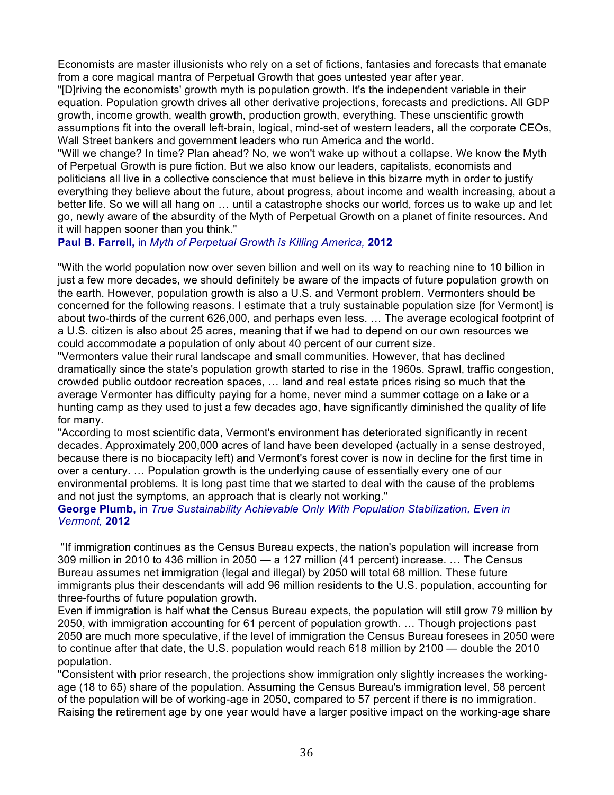Economists are master illusionists who rely on a set of fictions, fantasies and forecasts that emanate from a core magical mantra of Perpetual Growth that goes untested year after year.

"[D]riving the economists' growth myth is population growth. It's the independent variable in their equation. Population growth drives all other derivative projections, forecasts and predictions. All GDP growth, income growth, wealth growth, production growth, everything. These unscientific growth assumptions fit into the overall left-brain, logical, mind-set of western leaders, all the corporate CEOs, Wall Street bankers and government leaders who run America and the world.

"Will we change? In time? Plan ahead? No, we won't wake up without a collapse. We know the Myth of Perpetual Growth is pure fiction. But we also know our leaders, capitalists, economists and politicians all live in a collective conscience that must believe in this bizarre myth in order to justify everything they believe about the future, about progress, about income and wealth increasing, about a better life. So we will all hang on … until a catastrophe shocks our world, forces us to wake up and let go, newly aware of the absurdity of the Myth of Perpetual Growth on a planet of finite resources. And it will happen sooner than you think."

**Paul B. Farrell,** in *Myth of Perpetual Growth is Killing America,* **2012**

"With the world population now over seven billion and well on its way to reaching nine to 10 billion in just a few more decades, we should definitely be aware of the impacts of future population growth on the earth. However, population growth is also a U.S. and Vermont problem. Vermonters should be concerned for the following reasons. I estimate that a truly sustainable population size [for Vermont] is about two-thirds of the current 626,000, and perhaps even less. … The average ecological footprint of a U.S. citizen is also about 25 acres, meaning that if we had to depend on our own resources we could accommodate a population of only about 40 percent of our current size.

"Vermonters value their rural landscape and small communities. However, that has declined dramatically since the state's population growth started to rise in the 1960s. Sprawl, traffic congestion, crowded public outdoor recreation spaces, … land and real estate prices rising so much that the average Vermonter has difficulty paying for a home, never mind a summer cottage on a lake or a hunting camp as they used to just a few decades ago, have significantly diminished the quality of life for many.

"According to most scientific data, Vermont's environment has deteriorated significantly in recent decades. Approximately 200,000 acres of land have been developed (actually in a sense destroyed, because there is no biocapacity left) and Vermont's forest cover is now in decline for the first time in over a century. … Population growth is the underlying cause of essentially every one of our environmental problems. It is long past time that we started to deal with the cause of the problems and not just the symptoms, an approach that is clearly not working."

# **George Plumb,** in *True Sustainability Achievable Only With Population Stabilization, Even in Vermont,* **2012**

"If immigration continues as the Census Bureau expects, the nation's population will increase from 309 million in 2010 to 436 million in 2050 — a 127 million (41 percent) increase. … The Census Bureau assumes net immigration (legal and illegal) by 2050 will total 68 million. These future immigrants plus their descendants will add 96 million residents to the U.S. population, accounting for three-fourths of future population growth.

Even if immigration is half what the Census Bureau expects, the population will still grow 79 million by 2050, with immigration accounting for 61 percent of population growth. … Though projections past 2050 are much more speculative, if the level of immigration the Census Bureau foresees in 2050 were to continue after that date, the U.S. population would reach 618 million by 2100 — double the 2010 population.

"Consistent with prior research, the projections show immigration only slightly increases the workingage (18 to 65) share of the population. Assuming the Census Bureau's immigration level, 58 percent of the population will be of working-age in 2050, compared to 57 percent if there is no immigration. Raising the retirement age by one year would have a larger positive impact on the working-age share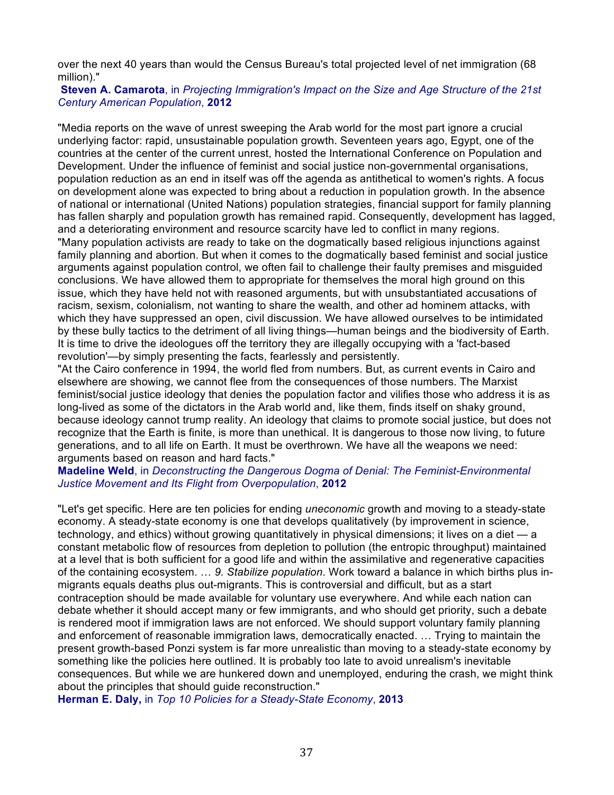over the next 40 years than would the Census Bureau's total projected level of net immigration (68 million)."

# **Steven A. Camarota**, in *Projecting Immigration's Impact on the Size and Age Structure of the 21st Century American Population*, **2012**

"Media reports on the wave of unrest sweeping the Arab world for the most part ignore a crucial underlying factor: rapid, unsustainable population growth. Seventeen years ago, Egypt, one of the countries at the center of the current unrest, hosted the International Conference on Population and Development. Under the influence of feminist and social justice non-governmental organisations, population reduction as an end in itself was off the agenda as antithetical to women's rights. A focus on development alone was expected to bring about a reduction in population growth. In the absence of national or international (United Nations) population strategies, financial support for family planning has fallen sharply and population growth has remained rapid. Consequently, development has lagged, and a deteriorating environment and resource scarcity have led to conflict in many regions. "Many population activists are ready to take on the dogmatically based religious injunctions against family planning and abortion. But when it comes to the dogmatically based feminist and social justice arguments against population control, we often fail to challenge their faulty premises and misguided conclusions. We have allowed them to appropriate for themselves the moral high ground on this issue, which they have held not with reasoned arguments, but with unsubstantiated accusations of racism, sexism, colonialism, not wanting to share the wealth, and other ad hominem attacks, with which they have suppressed an open, civil discussion. We have allowed ourselves to be intimidated by these bully tactics to the detriment of all living things—human beings and the biodiversity of Earth. It is time to drive the ideologues off the territory they are illegally occupying with a 'fact-based revolution'—by simply presenting the facts, fearlessly and persistently.

"At the Cairo conference in 1994, the world fled from numbers. But, as current events in Cairo and elsewhere are showing, we cannot flee from the consequences of those numbers. The Marxist feminist/social justice ideology that denies the population factor and vilifies those who address it is as long-lived as some of the dictators in the Arab world and, like them, finds itself on shaky ground, because ideology cannot trump reality. An ideology that claims to promote social justice, but does not recognize that the Earth is finite, is more than unethical. It is dangerous to those now living, to future generations, and to all life on Earth. It must be overthrown. We have all the weapons we need: arguments based on reason and hard facts."

#### **Madeline Weld**, in *Deconstructing the Dangerous Dogma of Denial: The Feminist-Environmental Justice Movement and Its Flight from Overpopulation*, **2012**

"Let's get specific. Here are ten policies for ending *uneconomic* growth and moving to a steady-state economy. A steady-state economy is one that develops qualitatively (by improvement in science, technology, and ethics) without growing quantitatively in physical dimensions; it lives on a diet — a constant metabolic flow of resources from depletion to pollution (the entropic throughput) maintained at a level that is both sufficient for a good life and within the assimilative and regenerative capacities of the containing ecosystem. … *9. Stabilize population*. Work toward a balance in which births plus inmigrants equals deaths plus out-migrants. This is controversial and difficult, but as a start contraception should be made available for voluntary use everywhere. And while each nation can debate whether it should accept many or few immigrants, and who should get priority, such a debate is rendered moot if immigration laws are not enforced. We should support voluntary family planning and enforcement of reasonable immigration laws, democratically enacted. … Trying to maintain the present growth-based Ponzi system is far more unrealistic than moving to a steady-state economy by something like the policies here outlined. It is probably too late to avoid unrealism's inevitable consequences. But while we are hunkered down and unemployed, enduring the crash, we might think about the principles that should guide reconstruction."

**Herman E. Daly,** in *Top 10 Policies for a Steady-State Economy*, **2013**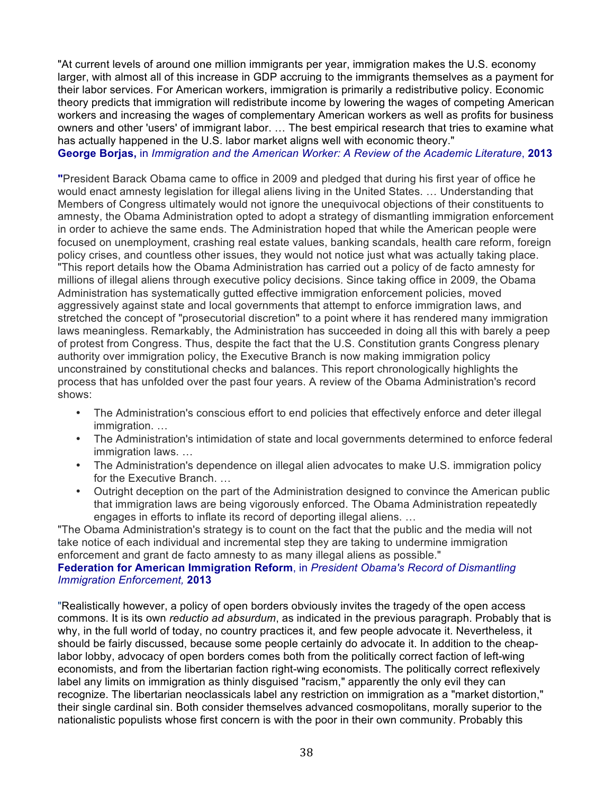"At current levels of around one million immigrants per year, immigration makes the U.S. economy larger, with almost all of this increase in GDP accruing to the immigrants themselves as a payment for their labor services. For American workers, immigration is primarily a redistributive policy. Economic theory predicts that immigration will redistribute income by lowering the wages of competing American workers and increasing the wages of complementary American workers as well as profits for business owners and other 'users' of immigrant labor. … The best empirical research that tries to examine what has actually happened in the U.S. labor market aligns well with economic theory."

**George Borjas,** in *Immigration and the American Worker: A Review of the Academic Literature*, **2013**

**"**President Barack Obama came to office in 2009 and pledged that during his first year of office he would enact amnesty legislation for illegal aliens living in the United States. … Understanding that Members of Congress ultimately would not ignore the unequivocal objections of their constituents to amnesty, the Obama Administration opted to adopt a strategy of dismantling immigration enforcement in order to achieve the same ends. The Administration hoped that while the American people were focused on unemployment, crashing real estate values, banking scandals, health care reform, foreign policy crises, and countless other issues, they would not notice just what was actually taking place. "This report details how the Obama Administration has carried out a policy of de facto amnesty for millions of illegal aliens through executive policy decisions. Since taking office in 2009, the Obama Administration has systematically gutted effective immigration enforcement policies, moved aggressively against state and local governments that attempt to enforce immigration laws, and stretched the concept of "prosecutorial discretion" to a point where it has rendered many immigration laws meaningless. Remarkably, the Administration has succeeded in doing all this with barely a peep of protest from Congress. Thus, despite the fact that the U.S. Constitution grants Congress plenary authority over immigration policy, the Executive Branch is now making immigration policy unconstrained by constitutional checks and balances. This report chronologically highlights the process that has unfolded over the past four years. A review of the Obama Administration's record shows:

- The Administration's conscious effort to end policies that effectively enforce and deter illegal immigration. …
- The Administration's intimidation of state and local governments determined to enforce federal immigration laws. …
- The Administration's dependence on illegal alien advocates to make U.S. immigration policy for the Executive Branch. …
- Outright deception on the part of the Administration designed to convince the American public that immigration laws are being vigorously enforced. The Obama Administration repeatedly engages in efforts to inflate its record of deporting illegal aliens. …

"The Obama Administration's strategy is to count on the fact that the public and the media will not take notice of each individual and incremental step they are taking to undermine immigration enforcement and grant de facto amnesty to as many illegal aliens as possible."

#### **Federation for American Immigration Reform**, in *President Obama's Record of Dismantling Immigration Enforcement,* **2013**

"Realistically however, a policy of open borders obviously invites the tragedy of the open access commons. It is its own *reductio ad absurdum*, as indicated in the previous paragraph. Probably that is why, in the full world of today, no country practices it, and few people advocate it. Nevertheless, it should be fairly discussed, because some people certainly do advocate it. In addition to the cheaplabor lobby, advocacy of open borders comes both from the politically correct faction of left-wing economists, and from the libertarian faction right-wing economists. The politically correct reflexively label any limits on immigration as thinly disguised "racism," apparently the only evil they can recognize. The libertarian neoclassicals label any restriction on immigration as a "market distortion," their single cardinal sin. Both consider themselves advanced cosmopolitans, morally superior to the nationalistic populists whose first concern is with the poor in their own community. Probably this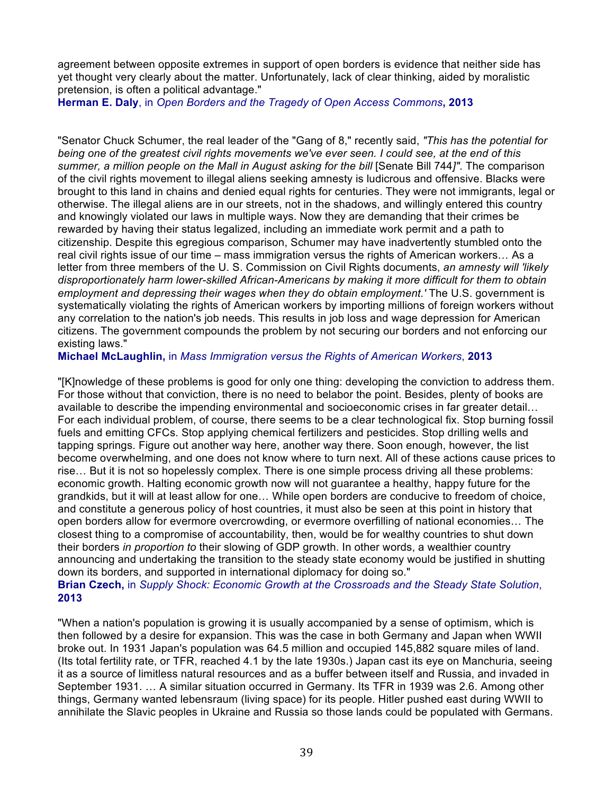agreement between opposite extremes in support of open borders is evidence that neither side has yet thought very clearly about the matter. Unfortunately, lack of clear thinking, aided by moralistic pretension, is often a political advantage."

**Herman E. Daly**, in *Open Borders and the Tragedy of Open Access Commons***, 2013**

"Senator Chuck Schumer, the real leader of the "Gang of 8," recently said, *"This has the potential for being one of the greatest civil rights movements we've ever seen. I could see, at the end of this summer, a million people on the Mall in August asking for the bill* [Senate Bill 744*]"*. The comparison of the civil rights movement to illegal aliens seeking amnesty is ludicrous and offensive. Blacks were brought to this land in chains and denied equal rights for centuries. They were not immigrants, legal or otherwise. The illegal aliens are in our streets, not in the shadows, and willingly entered this country and knowingly violated our laws in multiple ways. Now they are demanding that their crimes be rewarded by having their status legalized, including an immediate work permit and a path to citizenship. Despite this egregious comparison, Schumer may have inadvertently stumbled onto the real civil rights issue of our time – mass immigration versus the rights of American workers… As a letter from three members of the U. S. Commission on Civil Rights documents, *an amnesty will 'likely disproportionately harm lower-skilled African-Americans by making it more difficult for them to obtain employment and depressing their wages when they do obtain employment.'* The U.S. government is systematically violating the rights of American workers by importing millions of foreign workers without any correlation to the nation's job needs. This results in job loss and wage depression for American citizens. The government compounds the problem by not securing our borders and not enforcing our existing laws."

**Michael McLaughlin,** in *Mass Immigration versus the Rights of American Workers*, **2013**

"[K]nowledge of these problems is good for only one thing: developing the conviction to address them. For those without that conviction, there is no need to belabor the point. Besides, plenty of books are available to describe the impending environmental and socioeconomic crises in far greater detail… For each individual problem, of course, there seems to be a clear technological fix. Stop burning fossil fuels and emitting CFCs. Stop applying chemical fertilizers and pesticides. Stop drilling wells and tapping springs. Figure out another way here, another way there. Soon enough, however, the list become overwhelming, and one does not know where to turn next. All of these actions cause prices to rise… But it is not so hopelessly complex. There is one simple process driving all these problems: economic growth. Halting economic growth now will not guarantee a healthy, happy future for the grandkids, but it will at least allow for one… While open borders are conducive to freedom of choice, and constitute a generous policy of host countries, it must also be seen at this point in history that open borders allow for evermore overcrowding, or evermore overfilling of national economies… The closest thing to a compromise of accountability, then, would be for wealthy countries to shut down their borders *in proportion to* their slowing of GDP growth. In other words, a wealthier country announcing and undertaking the transition to the steady state economy would be justified in shutting down its borders, and supported in international diplomacy for doing so."

# **Brian Czech,** in *Supply Shock: Economic Growth at the Crossroads and the Steady State Solution*, **2013**

"When a nation's population is growing it is usually accompanied by a sense of optimism, which is then followed by a desire for expansion. This was the case in both Germany and Japan when WWII broke out. In 1931 Japan's population was 64.5 million and occupied 145,882 square miles of land. (Its total fertility rate, or TFR, reached 4.1 by the late 1930s.) Japan cast its eye on Manchuria, seeing it as a source of limitless natural resources and as a buffer between itself and Russia, and invaded in September 1931. … A similar situation occurred in Germany. Its TFR in 1939 was 2.6. Among other things, Germany wanted lebensraum (living space) for its people. Hitler pushed east during WWII to annihilate the Slavic peoples in Ukraine and Russia so those lands could be populated with Germans.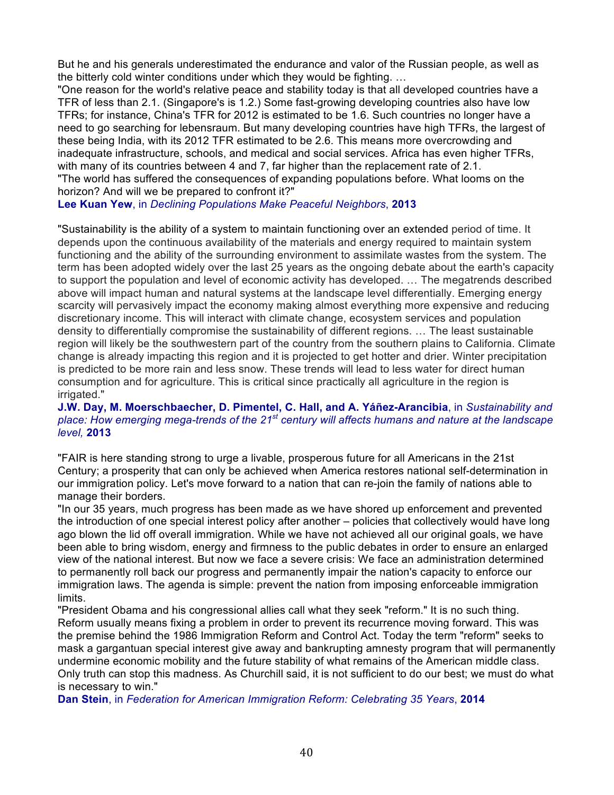But he and his generals underestimated the endurance and valor of the Russian people, as well as the bitterly cold winter conditions under which they would be fighting. …

"One reason for the world's relative peace and stability today is that all developed countries have a TFR of less than 2.1. (Singapore's is 1.2.) Some fast-growing developing countries also have low TFRs; for instance, China's TFR for 2012 is estimated to be 1.6. Such countries no longer have a need to go searching for lebensraum. But many developing countries have high TFRs, the largest of these being India, with its 2012 TFR estimated to be 2.6. This means more overcrowding and inadequate infrastructure, schools, and medical and social services. Africa has even higher TFRs, with many of its countries between 4 and 7, far higher than the replacement rate of 2.1. "The world has suffered the consequences of expanding populations before. What looms on the

horizon? And will we be prepared to confront it?"

**Lee Kuan Yew**, in *Declining Populations Make Peaceful Neighbors*, **2013**

"Sustainability is the ability of a system to maintain functioning over an extended period of time. It depends upon the continuous availability of the materials and energy required to maintain system functioning and the ability of the surrounding environment to assimilate wastes from the system. The term has been adopted widely over the last 25 years as the ongoing debate about the earth's capacity to support the population and level of economic activity has developed. … The megatrends described above will impact human and natural systems at the landscape level differentially. Emerging energy scarcity will pervasively impact the economy making almost everything more expensive and reducing discretionary income. This will interact with climate change, ecosystem services and population density to differentially compromise the sustainability of different regions. … The least sustainable region will likely be the southwestern part of the country from the southern plains to California. Climate change is already impacting this region and it is projected to get hotter and drier. Winter precipitation is predicted to be more rain and less snow. These trends will lead to less water for direct human consumption and for agriculture. This is critical since practically all agriculture in the region is irrigated."

#### **J.W. Day, M. Moerschbaecher, D. Pimentel, C. Hall, and A. Yáñez-Arancibia**, in *Sustainability and place: How emerging mega-trends of the 21st century will affects humans and nature at the landscape level,* **2013**

"FAIR is here standing strong to urge a livable, prosperous future for all Americans in the 21st Century; a prosperity that can only be achieved when America restores national self-determination in our immigration policy. Let's move forward to a nation that can re-join the family of nations able to manage their borders.

"In our 35 years, much progress has been made as we have shored up enforcement and prevented the introduction of one special interest policy after another – policies that collectively would have long ago blown the lid off overall immigration. While we have not achieved all our original goals, we have been able to bring wisdom, energy and firmness to the public debates in order to ensure an enlarged view of the national interest. But now we face a severe crisis: We face an administration determined to permanently roll back our progress and permanently impair the nation's capacity to enforce our immigration laws. The agenda is simple: prevent the nation from imposing enforceable immigration limits.

"President Obama and his congressional allies call what they seek "reform." It is no such thing. Reform usually means fixing a problem in order to prevent its recurrence moving forward. This was the premise behind the 1986 Immigration Reform and Control Act. Today the term "reform" seeks to mask a gargantuan special interest give away and bankrupting amnesty program that will permanently undermine economic mobility and the future stability of what remains of the American middle class. Only truth can stop this madness. As Churchill said, it is not sufficient to do our best; we must do what is necessary to win."

**Dan Stein**, in *Federation for American Immigration Reform: Celebrating 35 Years*, **2014**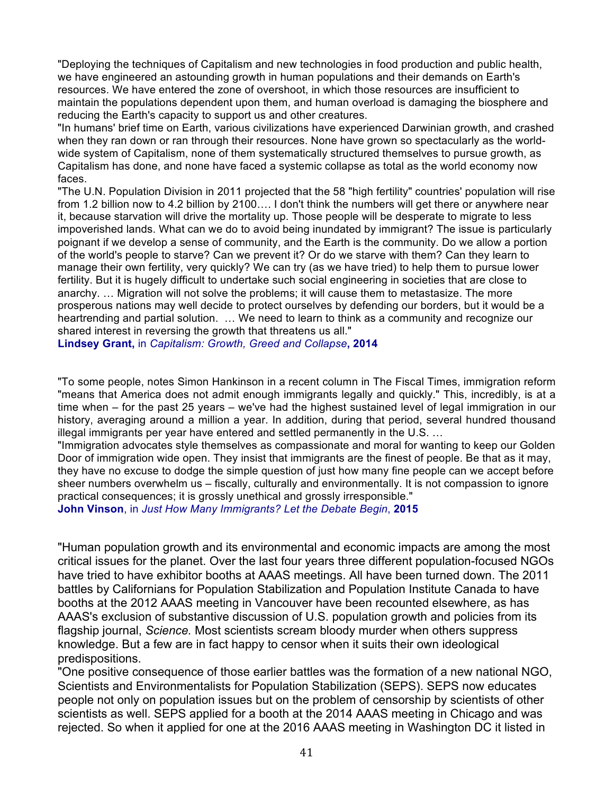"Deploying the techniques of Capitalism and new technologies in food production and public health, we have engineered an astounding growth in human populations and their demands on Earth's resources. We have entered the zone of overshoot, in which those resources are insufficient to maintain the populations dependent upon them, and human overload is damaging the biosphere and reducing the Earth's capacity to support us and other creatures.

"In humans' brief time on Earth, various civilizations have experienced Darwinian growth, and crashed when they ran down or ran through their resources. None have grown so spectacularly as the worldwide system of Capitalism, none of them systematically structured themselves to pursue growth, as Capitalism has done, and none have faced a systemic collapse as total as the world economy now faces.

"The U.N. Population Division in 2011 projected that the 58 "high fertility" countries' population will rise from 1.2 billion now to 4.2 billion by 2100…. I don't think the numbers will get there or anywhere near it, because starvation will drive the mortality up. Those people will be desperate to migrate to less impoverished lands. What can we do to avoid being inundated by immigrant? The issue is particularly poignant if we develop a sense of community, and the Earth is the community. Do we allow a portion of the world's people to starve? Can we prevent it? Or do we starve with them? Can they learn to manage their own fertility, very quickly? We can try (as we have tried) to help them to pursue lower fertility. But it is hugely difficult to undertake such social engineering in societies that are close to anarchy. … Migration will not solve the problems; it will cause them to metastasize. The more prosperous nations may well decide to protect ourselves by defending our borders, but it would be a heartrending and partial solution. … We need to learn to think as a community and recognize our shared interest in reversing the growth that threatens us all."

**Lindsey Grant,** in *Capitalism: Growth, Greed and Collapse***, 2014**

"To some people, notes Simon Hankinson in a recent column in The Fiscal Times, immigration reform "means that America does not admit enough immigrants legally and quickly." This, incredibly, is at a time when – for the past 25 years – we've had the highest sustained level of legal immigration in our history, averaging around a million a year. In addition, during that period, several hundred thousand illegal immigrants per year have entered and settled permanently in the U.S. …

"Immigration advocates style themselves as compassionate and moral for wanting to keep our Golden Door of immigration wide open. They insist that immigrants are the finest of people. Be that as it may, they have no excuse to dodge the simple question of just how many fine people can we accept before sheer numbers overwhelm us – fiscally, culturally and environmentally. It is not compassion to ignore practical consequences; it is grossly unethical and grossly irresponsible."

**John Vinson**, in *Just How Many Immigrants? Let the Debate Begin*, **2015**

"Human population growth and its environmental and economic impacts are among the most critical issues for the planet. Over the last four years three different population-focused NGOs have tried to have exhibitor booths at AAAS meetings. All have been turned down. The 2011 battles by Californians for Population Stabilization and Population Institute Canada to have booths at the 2012 AAAS meeting in Vancouver have been recounted elsewhere, as has AAAS's exclusion of substantive discussion of U.S. population growth and policies from its flagship journal, *Science.* Most scientists scream bloody murder when others suppress knowledge. But a few are in fact happy to censor when it suits their own ideological predispositions.

"One positive consequence of those earlier battles was the formation of a new national NGO, Scientists and Environmentalists for Population Stabilization (SEPS). SEPS now educates people not only on population issues but on the problem of censorship by scientists of other scientists as well. SEPS applied for a booth at the 2014 AAAS meeting in Chicago and was rejected. So when it applied for one at the 2016 AAAS meeting in Washington DC it listed in